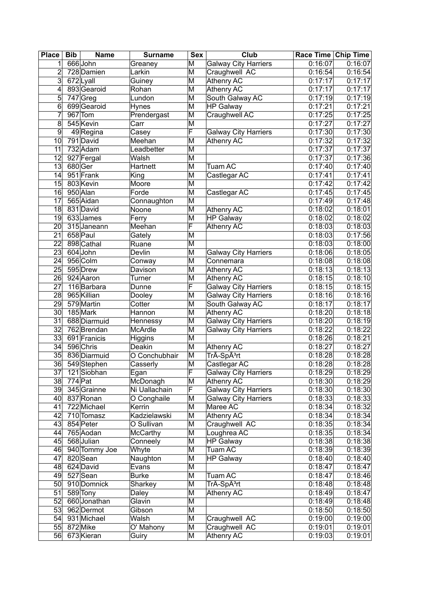| <b>Place</b>    | <b>Bib</b><br><b>Name</b> | <b>Surname</b>  | Sex                     | Club                        | Race Time   Chip Time |         |
|-----------------|---------------------------|-----------------|-------------------------|-----------------------------|-----------------------|---------|
| 1               | 666John                   | Greaney         | M                       | <b>Galway City Harriers</b> | 0:16:07               | 0:16:07 |
| 2               | 728 Damien                | Larkin          | M                       | Craughwell AC               | 0:16:54               | 0:16:54 |
| 3               | 672Lyall                  | Guiney          | M                       | Athenry AC                  | 0:17:17               | 0:17:17 |
| 4               | 893 Gearoid               | Rohan           | M                       | Athenry AC                  | 0:17:17               | 0:17:17 |
| 5               | $747$ Greg                | Lundon          | M                       | South Galway AC             | 0:17:19               | 0:17:19 |
| 6               | 699 Gearoid               | <b>Hynes</b>    | M                       | <b>HP Galway</b>            | 0:17:21               | 0:17:21 |
| 7               | $967$ Tom                 | Prendergast     | M                       | Craughwell AC               | 0:17:25               | 0:17:25 |
| 8               | 545 Kevin                 | Carr            | M                       |                             | 0:17:27               | 0:17:27 |
| 9               | 49 Regina                 | Casey           | F                       | <b>Galway City Harriers</b> | 0:17:30               | 0:17:30 |
| 10              | 791 David                 | Meehan          | M                       | Athenry AC                  | 0:17:32               | 0:17:32 |
| 11              | 732 Adam                  | Leadbetter      | M                       |                             | 0:17:37               | 0:17:37 |
| 12              | 927 Fergal                | Walsh           | M                       |                             | 0:17:37               | 0:17:36 |
| 13              | 680 Ger                   | Hartnett        | M                       | <b>Tuam AC</b>              | 0:17:40               | 0:17:40 |
| 14              | 951 Frank                 | King            | M                       | Castlegar AC                | 0:17:41               | 0:17:41 |
| 15              | 803 Kevin                 | Moore           | M                       |                             | 0:17:42               | 0:17:42 |
| 16              | 950 Alan                  | Forde           | M                       | Castlegar AC                | 0:17:45               | 0:17:45 |
| 17              | 565 Aidan                 | Connaughton     | M                       |                             | 0:17:49               | 0:17:48 |
| 18              | 831 David                 | Noone           | M                       | Athenry AC                  | 0:18:02               | 0:18:01 |
| 19              | 633 James                 | Ferry           | M                       | HP Galway                   | 0:18:02               | 0:18:02 |
| 20              | 315 Janeann               | Meehan          | F                       | <b>Athenry AC</b>           | 0:18:03               | 0:18:03 |
| 21              | 658 Paul                  | Gately          | M                       |                             | 0:18:03               | 0:17:56 |
| 22              | 898 Cathal                | Ruane           | M                       |                             | 0:18:03               | 0:18:00 |
| 23              | 604 John                  | Devlin          | M                       | <b>Galway City Harriers</b> | 0:18:06               | 0:18:05 |
| 24              | 956 Colm                  | Conway          | M                       | Connemara                   | 0:18:08               | 0:18:08 |
| 25              | 595 Drew                  | Davison         | M                       | Athenry AC                  | 0:18:13               | 0:18:13 |
| 26              | 924 Aaron                 | Turner          | M                       | Athenry AC                  | 0:18:15               | 0:18:10 |
| 27              | 116 Barbara               | Dunne           | F                       | <b>Galway City Harriers</b> | 0:18:15               | 0:18:15 |
| 28              | 965 Killian               | Dooley          | M                       | <b>Galway City Harriers</b> | 0:18:16               | 0:18:16 |
| 29              | 579 Martin                | Cotter          | M                       | South Galway AC             | 0:18:17               | 0:18:17 |
| 30 <sup>°</sup> | 185 Mark                  | Hannon          | M                       | Athenry AC                  | 0:18:20               | 0:18:18 |
| 31              | 688 Diarmuid              | Hennessy        | M                       | <b>Galway City Harriers</b> | $\overline{0:}18:20$  | 0:18:19 |
| 32              | 762 Brendan               | <b>McArdle</b>  | M                       | <b>Galway City Harriers</b> | 0:18:22               | 0:18:22 |
| 33              | 691 Franicis              | Higgins         | M                       |                             | 0:18:26               | 0:18:21 |
| 34              | 596 Chris                 | Deakin          | M                       | Athenry AC                  | 0:18:27               | 0:18:27 |
| 35              | 836 Diarmuid              | O Conchubhair   | M                       | TrÃ-SpÃ <sup>3</sup> rt     | 0:18:28               | 0:18:28 |
| 36              | 549Stephen                | Casserly        | $\overline{\mathsf{M}}$ | Castlegar AC                | 0:18:28               | 0:18:28 |
| 37              | 121 Siobhan               | Egan            | F                       | <b>Galway City Harriers</b> | 0:18:29               | 0:18:29 |
| 38              | $\overline{774}$ Pat      | McDonagh        | M                       | Athenry AC                  | $\overline{0:18:30}$  | 0:18:29 |
| $39$            | 345 Grainne               | Ni Uallachain   | F                       | <b>Galway City Harriers</b> | 0:18:30               | 0:18:30 |
| 40              | 837 Ronan                 | O Conghaile     | M                       | <b>Galway City Harriers</b> | 0:18:33               | 0:18:33 |
| 41              | 722 Michael               | Kerrin          | M                       | Maree AC                    | 0:18:34               | 0:18:32 |
| 42              | 710 Tomasz                | Kadzielawski    | M                       | Athenry AC                  | 0:18:34               | 0:18:34 |
| 43              | 854 Peter                 | O Sullivan      | M                       | Craughwell AC               | 0:18:35               | 0:18:34 |
| 44              | 765 Aodan                 | <b>McCarthy</b> | M                       | Loughrea AC                 | 0:18:35               | 0:18:34 |
| 45              | 568 Julian                | Conneely        | M                       | <b>HP Galway</b>            | 0:18:38               | 0:18:38 |
| 46              | 940 Tommy Joe             | Whyte           | M                       | Tuam AC                     | 0:18:39               | 0:18:39 |
| 47              | 820 Sean                  | Naughton        | M                       | <b>HP Galway</b>            | $\overline{0:}18:40$  | 0:18:40 |
| 48              | 624 David                 | Evans           | M                       |                             | 0:18:47               | 0:18:47 |
| 49              | 527 Sean                  | <b>Burke</b>    | M                       | Tuam AC                     | 0:18:47               | 0:18:46 |
| 50 <sub>1</sub> | 910 Domnick               | Sharkey         | M                       | TrÃ-SpÃ <sup>3</sup> rt     | 0:18:48               | 0:18:48 |
| 51              | 589 Tony                  | Daley           | M                       | Athenry AC                  | 0:18:49               | 0:18:47 |
| 52              | 660 Jonathan              | Glavin          | M                       |                             | 0:18:49               | 0:18:48 |
| 53              | 962 Dermot                | Gibson          | M                       |                             | 0:18:50               | 0:18:50 |
| 54              | 931 Michael               | Walsh           | M                       | Craughwell AC               | 0:19:00               | 0:19:00 |
|                 | 55 872 Mike               | O' Mahony       | M                       | Craughwell AC               | 0:19:01               | 0:19:01 |
| 56              | 673 Kieran                | Guiry           | M                       | Athenry AC                  | 0:19:03               | 0:19:01 |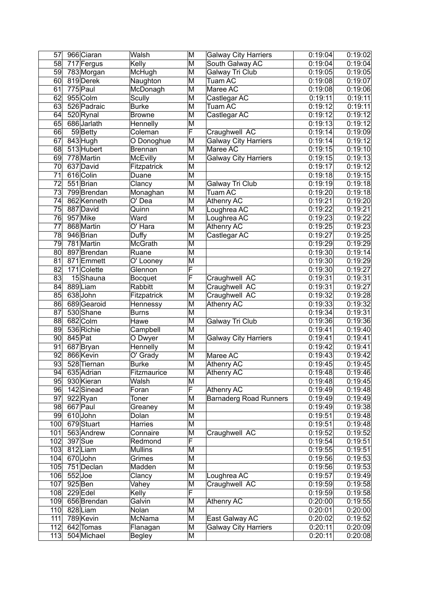| 57              |           | 966 Ciaran              | Walsh                  | M                       | <b>Galway City Harriers</b>   | 0:19:04 | 0:19:02 |
|-----------------|-----------|-------------------------|------------------------|-------------------------|-------------------------------|---------|---------|
| 58              |           | $\overline{717}$ Fergus | Kelly                  | M                       | South Galway AC               | 0:19:04 | 0:19:04 |
| 59              |           | 783 Morgan              | McHugh                 | M                       | Galway Tri Club               | 0:19:05 | 0:19:05 |
| 60 <sup>°</sup> |           | 819 Derek               | Naughton               | M                       | Tuam AC                       | 0:19:08 | 0:19:07 |
| 61              |           | 775 Paul                | McDonagh               | M                       | Maree AC                      | 0:19:08 | 0:19:06 |
| 62              |           | 955 Colm                | Scully                 | M                       | Castlegar AC                  | 0:19:11 | 0:19:11 |
| 63              |           | 526 Padraic             | <b>Burke</b>           | M                       | Tuam AC                       | 0:19:12 | 0:19:11 |
| 64              |           | 520 Rynal               | <b>Browne</b>          | M                       | Castlegar AC                  | 0:19:12 | 0:19:12 |
| 65              |           | 686 Jarlath             | Hennelly               | M                       |                               | 0:19:13 | 0:19:12 |
| 66              |           | 59Betty                 | Coleman                | $\overline{\mathsf{F}}$ | Craughwell AC                 | 0:19:14 | 0:19:09 |
| 67              |           | 843 Hugh                | O Donoghue             | M                       | <b>Galway City Harriers</b>   | 0:19:14 | 0:19:12 |
| 68              |           | 513 Hubert              | <b>Brennan</b>         | M                       | Maree AC                      | 0:19:15 | 0:19:10 |
| 69              |           | 778 Martin              | <b>McEvilly</b>        | M                       | <b>Galway City Harriers</b>   | 0:19:15 | 0:19:13 |
| 70              |           | 637 David               | Fitzpatrick            | M                       |                               | 0:19:17 | 0:19:12 |
| $\overline{71}$ |           | 616 Colin               | Duane                  | M                       |                               | 0:19:18 | 0:19:15 |
| $\overline{72}$ |           | 551 Brian               | Clancy                 | M                       | Galway Tri Club               | 0:19:19 | 0:19:18 |
| 73              |           | 799 Brendan             | Monaghan               | M                       | Tuam AC                       | 0:19:20 | 0:19:18 |
| 74              |           | 862 Kenneth             | $\overline{O}$ Dea     | M                       | Athenry AC                    | 0:19:21 | 0:19:20 |
| 75              |           | 887 David               | Quinn                  | M                       | Loughrea AC                   | 0:19:22 | 0:19:21 |
| 76              |           | 957 Mike                | Ward                   | M                       |                               |         |         |
|                 |           |                         |                        |                         | Loughrea AC                   | 0:19:23 | 0:19:22 |
| 77              |           | 868 Martin              | $\overline{O'}$ Hara   | M                       | <b>Athenry AC</b>             | 0:19:25 | 0:19:23 |
| 78              |           | 946 Brian               | Duffy                  | M                       | Castlegar AC                  | 0:19:27 | 0:19:25 |
| 79              |           | 781 Martin              | McGrath                | M                       |                               | 0:19:29 | 0:19:29 |
| 80              |           | 897 Brendan             | Ruane                  | $\overline{\mathsf{M}}$ |                               | 0:19:30 | 0:19:14 |
| 81              |           | 871 Emmett              | $\overline{O'}$ Looney | M                       |                               | 0:19:30 | 0:19:29 |
| 82              |           | 171 Colette             | Glennon                | F                       |                               | 0:19:30 | 0:19:27 |
| 83              |           | 15Shauna                | Bocquet                | F                       | Craughwell AC                 | 0:19:31 | 0:19:31 |
| 84              |           | 889Liam                 | Rabbitt                | M                       | Craughwell AC                 | 0:19:31 | 0:19:27 |
| 85              |           | 638 John                | Fitzpatrick            | M                       | Craughwell AC                 | 0:19:32 | 0:19:28 |
| 86              |           | 689 Gearoid             | Hennessy               | M                       | <b>Athenry AC</b>             | 0:19:33 | 0:19:32 |
| 87              |           | 530 Shane               | <b>Burns</b>           | M                       |                               | 0:19:34 | 0:19:31 |
| 88              |           | 682 Colm                | Hawe                   | M                       | Galway Tri Club               | 0:19:36 | 0:19:36 |
| 89              |           | 536 Richie              | Campbell               | M                       |                               | 0:19:41 | 0:19:40 |
| 90              | 845 Pat   |                         | O Dwyer                | M                       | <b>Galway City Harriers</b>   | 0:19:41 | 0:19:41 |
| 91              |           | 687 Bryan               | Hennelly               | M                       |                               | 0:19:42 | 0:19:41 |
| 92              |           | 866 Kevin               | O' Grady               | M                       | Maree AC                      | 0:19:43 | 0:19:42 |
| 93              |           | 528 Tiernan             | <b>Burke</b>           | M                       | Athenry AC                    | 0:19:45 | 0:19:45 |
| $\overline{94}$ |           | 635 Adrian              | Fitzmaurice            | $\overline{\mathsf{M}}$ | <b>Athenry AC</b>             | 0:19:48 | 0:19:46 |
| 95              |           | 930 Kieran              | Walsh                  | M                       |                               | 0:19:48 | 0:19:45 |
| 96              |           | 142 Sinead              | Foran                  | F                       | Athenry AC                    | 0:19:49 | 0:19:48 |
| 97              |           | 922 Ryan                | Toner                  | M                       | <b>Barnaderg Road Runners</b> | 0:19:49 | 0:19:49 |
| 98              |           | 667 Paul                | Greaney                | M                       |                               | 0:19:49 | 0:19:38 |
| 99              |           | 610John                 | Dolan                  | M                       |                               | 0:19:51 | 0:19:48 |
| 100             |           | 679 Stuart              | Harries                | M                       |                               | 0:19:51 | 0:19:48 |
| 101             |           | 563 Andrew              | Connaire               | M                       | Craughwell AC                 | 0:19:52 | 0:19:52 |
| 102             |           | $397$ Sue               | Redmond                | F                       |                               | 0:19:54 | 0:19:51 |
| 103             |           | 812Liam                 | <b>Mullins</b>         | M                       |                               | 0:19:55 | 0:19:51 |
| 104             |           | 670John                 | Grimes                 | M                       |                               | 0:19:56 | 0:19:53 |
| 105             |           | 751 Declan              | Madden                 | M                       |                               | 0:19:56 | 0:19:53 |
| 106             | $552$ Joe |                         | Clancy                 | M                       | Loughrea AC                   | 0:19:57 | 0:19:49 |
| 107             |           | $925$ Ben               | Vahey                  | М                       | Craughwell AC                 | 0:19:59 | 0:19:58 |
| 108             |           | $229$ Edel              | Kelly                  | $\overline{\mathsf{F}}$ |                               | 0:19:59 | 0:19:58 |
| 109             |           | 656 Brendan             | Galvin                 | M                       | Athenry AC                    | 0:20:00 | 0:19:55 |
| 110             |           | 828Liam                 | Nolan                  | M                       |                               | 0:20:01 | 0:20:00 |
| 111             |           | 789 Kevin               | McNama                 | M                       | East Galway AC                | 0:20:02 | 0:19:52 |
| 112             |           | 642 Tomas               | Flanagan               | M                       | <b>Galway City Harriers</b>   | 0:20:11 | 0:20:09 |
| 113             |           | 504 Michael             | <b>Begley</b>          | M                       |                               | 0:20:11 | 0:20:08 |
|                 |           |                         |                        |                         |                               |         |         |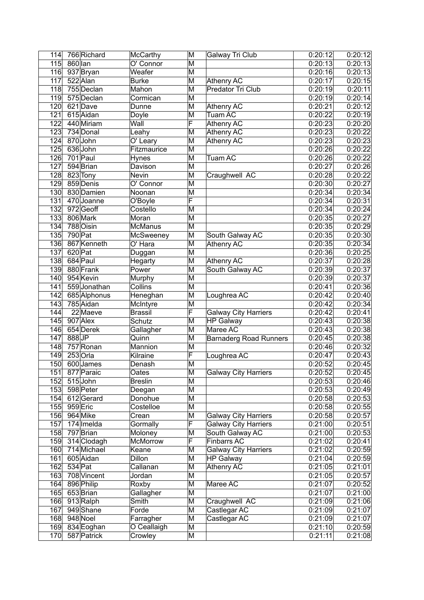| 114              | 766 Richard  | <b>McCarthy</b> | M                       | Galway Tri Club               | 0:20:12 | 0:20:12 |
|------------------|--------------|-----------------|-------------------------|-------------------------------|---------|---------|
| 115              | 860 lan      | O' Connor       | M                       |                               | 0:20:13 | 0:20:13 |
| 116              | 937 Bryan    | Weafer          | M                       |                               | 0:20:16 | 0:20:13 |
| 117              | 522 Alan     | <b>Burke</b>    | M                       | Athenry AC                    | 0:20:17 | 0:20:15 |
| 118              | 755 Declan   | Mahon           | M                       | Predator Tri Club             | 0:20:19 | 0:20:11 |
| 119              | 575 Declan   | Cormican        | M                       |                               | 0:20:19 | 0:20:14 |
| 120              | 621 Dave     | Dunne           | M                       | Athenry AC                    | 0:20:21 | 0:20:12 |
| 121              | 615 Aidan    | Doyle           | M                       | <b>Tuam AC</b>                | 0:20:22 | 0:20:19 |
| 122              | 440 Miriam   | Wall            | $\overline{\mathsf{F}}$ | Athenry AC                    | 0:20:23 | 0:20:20 |
| $\overline{123}$ | 734 Donal    | Leahy           | M                       | <b>Athenry AC</b>             | 0:20:23 | 0:20:22 |
| 124              | 870 John     | O' Leary        | M                       | Athenry AC                    | 0:20:23 | 0:20:23 |
| 125              | 636 John     | Fitzmaurice     | M                       |                               | 0:20:26 | 0:20:22 |
| 126              | 701 Paul     | Hynes           | M                       | <b>Tuam AC</b>                | 0:20:26 | 0:20:22 |
| 127              | 594 Brian    | Davison         | M                       |                               | 0:20:27 | 0:20:26 |
| 128              | 823 Tony     | Nevin           | M                       | Craughwell AC                 | 0:20:28 | 0:20:22 |
| 129              | 859 Denis    | O' Connor       | M                       |                               | 0:20:30 | 0:20:27 |
| 130              | 830 Damien   | Noonan          | M                       |                               | 0:20:34 | 0:20:34 |
| 131              | 470 Joanne   | O'Boyle         | $\overline{\mathsf{F}}$ |                               | 0:20:34 | 0:20:31 |
| 132              | 972 Geoff    | Costello        | M                       |                               | 0:20:34 | 0:20:24 |
| 133              | 806 Mark     | Moran           | M                       |                               | 0:20:35 | 0:20:27 |
| 134              | 788 Oisin    | McManus         | M                       |                               | 0:20:35 | 0:20:29 |
| 135              | 790 Pat      | McSweeney       | M                       | South Galway AC               | 0:20:35 | 0:20:30 |
| 136              | 867 Kenneth  | O' Hara         | M                       | <b>Athenry AC</b>             | 0:20:35 | 0:20:34 |
| $\overline{137}$ | 620 Pat      | Duggan          | M                       |                               | 0:20:36 | 0:20:25 |
| 138              | 684 Paul     | Hegarty         | M                       | Athenry AC                    | 0:20:37 | 0:20:28 |
| 139              | 880 Frank    | Power           | M                       | South Galway AC               | 0:20:39 | 0:20:37 |
| 140              | 954 Kevin    | Murphy          | M                       |                               | 0:20:39 | 0:20:37 |
| 141              | 559 Jonathan | Collins         | M                       |                               | 0:20:41 | 0:20:36 |
| 142              | 685 Alphonus | Heneghan        | M                       | Loughrea AC                   | 0:20:42 | 0:20:40 |
| 143              | 785 Aidan    | McIntyre        | M                       |                               | 0:20:42 | 0:20:34 |
| 144              | 22 Maeve     | <b>Brassil</b>  | $\overline{\mathsf{F}}$ | <b>Galway City Harriers</b>   | 0:20:42 | 0:20:41 |
| $\overline{145}$ | 907 Alex     | Schutz          | M                       | <b>HP Galway</b>              | 0:20:43 | 0:20:38 |
| 146              | 654 Derek    | Gallagher       | M                       | Maree AC                      | 0:20:43 | 0:20:38 |
| 147              | 888JP        | Quinn           | M                       | <b>Barnaderg Road Runners</b> | 0:20:45 | 0:20:38 |
| 148              | 757 Ronan    | Mannion         | M                       |                               | 0:20:46 | 0:20:32 |
| 149              | $253$ Orla   | Kilraine        | $\overline{\mathsf{F}}$ | Loughrea AC                   | 0:20:47 | 0:20:43 |
| 150              | 600 James    | Denash          | M                       |                               | 0:20:52 | 0:20:45 |
| $\overline{151}$ | 877 Paraic   | Oates           | M                       | <b>Galway City Harriers</b>   | 0:20:52 | 0:20:45 |
| 152              | 515John      | <b>Breslin</b>  | $\overline{\mathsf{M}}$ |                               | 0:20:53 | 0:20:46 |
| 153              | 598 Peter    | Deegan          | M                       |                               | 0:20:53 | 0:20:49 |
| 154              | 612Gerard    | Donohue         | M                       |                               | 0:20:58 | 0:20:53 |
| 155              | 959 Eric     | Costelloe       | M                       |                               | 0:20:58 | 0:20:55 |
| 156              | 964 Mike     | Crean           | M                       | <b>Galway City Harriers</b>   | 0:20:58 | 0:20:57 |
| 157              | $174$ Imelda | Gormally        | $\overline{\mathsf{F}}$ | <b>Galway City Harriers</b>   | 0:21:00 | 0:20:51 |
| 158              | 797 Brian    | Moloney         | M                       | South Galway AC               | 0:21:00 | 0:20:53 |
| 159              | 314 Clodagh  | McMorrow        | F                       | <b>Finbarrs AC</b>            | 0:21:02 | 0:20:41 |
| 160              | 714 Michael  | Keane           | M                       | <b>Galway City Harriers</b>   | 0:21:02 | 0:20:59 |
| 161              | 605 Aidan    | Dillon          | M                       | <b>HP Galway</b>              | 0:21:04 | 0:20:59 |
| 162              | $534$ Pat    | Callanan        | M                       | <b>Athenry AC</b>             | 0:21:05 | 0:21:01 |
| 163              | 708 Vincent  | Jordan          | M                       |                               | 0:21:05 | 0:20:57 |
| 164              | 896 Philip   | Roxby           | M                       | Maree AC                      | 0:21:07 | 0:20:52 |
| 165              | 653 Brian    | Gallagher       | M                       |                               | 0:21:07 | 0:21:00 |
| 166              | 913Ralph     | Smith           | M                       | Craughwell AC                 | 0:21:09 | 0:21:06 |
| 167              | 949 Shane    | Forde           | M                       | Castlegar AC                  | 0:21:09 | 0:21:07 |
| 168              | 948 Noel     | Farragher       | M                       | Castlegar AC                  | 0:21:09 | 0:21:07 |
| 169              | 834 Eoghan   | O Ceallaigh     | M                       |                               | 0:21:10 | 0:20:59 |
| 170              | 587 Patrick  | Crowley         | M                       |                               | 0:21:11 | 0:21:08 |
|                  |              |                 |                         |                               |         |         |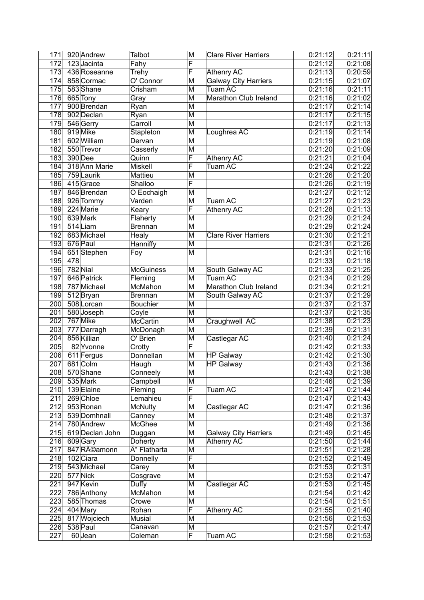| 171              | 920 Andrew                | Talbot           | M                       | <b>Clare River Harriers</b> | 0:21:12              | 0:21:11            |
|------------------|---------------------------|------------------|-------------------------|-----------------------------|----------------------|--------------------|
| $\overline{172}$ | 123Jacinta                | Fahy             | F                       |                             | 0:21:12              | 0:21:08            |
| 173              | 436 Roseanne              | Trehy            | F                       | <b>Athenry AC</b>           | 0:21:13              | 0:20:59            |
| 174              | 858 Cormac                | O' Connor        | M                       | <b>Galway City Harriers</b> | 0:21:15              | 0:21:07            |
| 175              | 583 Shane                 | Crisham          | M                       | Tuam AC                     | 0:21:16              | 0:21:11            |
| 176              | 665 Tony                  | Gray             | M                       | Marathon Club Ireland       | 0:21:16              | 0:21:02            |
| 177              | 900 Brendan               | Ryan             | M                       |                             | 0:21:17              | 0:21:14            |
| 178              | 902 Declan                | Ryan             | M                       |                             | 0:21:17              | 0:21:15            |
| 179              | 546 Gerry                 | Carroll          | M                       |                             | 0:21:17              | 0:21:13            |
| 180              | 919 Mike                  | Stapleton        | M                       | Loughrea AC                 | 0:21:19              | 0:21:14            |
| 181              | 602 William               | Dervan           | M                       |                             | 0:21:19              | 0:21:08            |
| 182              | 550 Trevor                | Casserly         | M                       |                             | 0:21:20              | 0:21:09            |
| 183              | 390 Dee                   | Quinn            | $\overline{\mathsf{F}}$ | <b>Athenry AC</b>           | 0:21:21              | 0:21:04            |
| 184              | 318 Ann Marie             | Miskell          | $\overline{\mathsf{F}}$ | Tuam AC                     | 0:21:24              | 0:21:22            |
| 185              | 759 Laurik                | Mattieu          | M                       |                             | 0:21:26              | 0:21:20            |
| 186              | 415Grace                  | Shalloo          | $\overline{\mathsf{F}}$ |                             | 0:21:26              | 0:21:19            |
| 187              | 846 Brendan               | O Eochaigh       | M                       |                             | 0:21:27              | 0:21:12            |
| 188              | 926 Tommy                 | Varden           | M                       | Tuam AC                     | 0:21:27              | 0:21:23            |
| 189              | 224 Marie                 | Keary            | $\overline{\mathsf{F}}$ | <b>Athenry AC</b>           | 0:21:28              | 0:21:13            |
| 190              | 639 Mark                  | Flaherty         | M                       |                             | 0:21:29              | 0:21:24            |
| 191              | 514 Liam                  | <b>Brennan</b>   | M                       |                             | 0:21:29              | 0:21:24            |
| 192              | 683 Michael               | Healy            | M                       | <b>Clare River Harriers</b> | 0:21:30              | 0:21:21            |
| 193              | 676 Paul                  | Hanniffy         | M                       |                             | 0:21:31              | 0:21:26            |
| 194              | 651 Stephen               | Foy              | $\overline{\mathsf{M}}$ |                             | 0:21:31              | 0:21:16            |
| 195              | 478                       |                  |                         |                             | 0:21:33              | 0:21:18            |
| 196              | $782$ Nial                | <b>McGuiness</b> | M                       | South Galway AC             | 0:21:33              | 0:21:25            |
| 197              | 646 Patrick               | Fleming          | M                       | Tuam AC                     | 0:21:34              | 0:21:29            |
| 198              | 787 Michael               | <b>McMahon</b>   | M                       | Marathon Club Ireland       | 0:21:34              | 0:21:21            |
| 199              | 512Bryan                  | <b>Brennan</b>   | M                       | South Galway AC             | 0:21:37              | 0:21:29            |
| 200              | 508 Lorcan                | <b>Bouchier</b>  | M                       |                             | 0:21:37              | 0:21:37            |
| 201              | 580 Joseph                | Coyle            | M                       |                             | 0:21:37              | 0:21:35            |
| $\overline{202}$ | 767 Mike                  | <b>McCartin</b>  | M                       | Craughwell AC               | 0:21:38              | 0:21:23            |
| 203              | 777 Darragh               | McDonagh         | M                       |                             | 0:21:39              | 0:21:31            |
| 204              | 856 Killian               | O' Brien         | M                       | Castlegar AC                | 0:21:40              | 0:21:24            |
| 205              | 82 Yvonne                 | Crotty           | F                       |                             | 0:21:42              | 0:21:33            |
| 206              | 611 Fergus                | Donnellan        | M                       | <b>HP</b> Galway            | 0:21:42              | 0:21:30            |
| 207              | 681 Colm                  | Haugh            | M                       | <b>HP Galway</b>            | 0:21:43              | 0:21:36            |
| 208              | 570 Shane                 | Conneely         | M                       |                             | 0:21:43              | 0:21:38            |
| 209              | 535 Mark                  | Campbell         | M                       |                             | 0:21:46              | 0:21:39            |
| 210              | 139 Elaine                | Fleming          | $\overline{\mathsf{F}}$ | Tuam AC                     | 0:21:47              | 0:21:44            |
| 211              | 269 Chloe                 | Lemahieu         | $\overline{\mathsf{F}}$ |                             | 0:21:47              | 0:21:43            |
| 212              | 953 Ronan                 | <b>McNulty</b>   | M                       | Castlegar AC                | 0:21:47              | 0:21:36            |
| 213              | 539 Domhnall              | Canney           | M                       |                             | 0:21:48              | 0:21:37            |
| 214              | 780 Andrew                | McGhee           | M                       |                             | 0:21:49              | 0:21:36            |
| 215              | 619 Declan John           | Duggan           | M                       | <b>Galway City Harriers</b> | 0:21:49              | 0:21:45            |
| 216              | 609 Gary                  | Doherty          | M                       | Athenry AC                  | 0:21:50              | 0:21:44            |
| 217              | 847 Réamonn               | Ó Flatharta      | M                       |                             | 0:21:51              | 0:21:28            |
| 218              | 102 Ciara                 | Donnelly         | F                       |                             | 0:21:52              | 0:21:49            |
| 219              | 543 Michael               | Carey            | M                       |                             | 0:21:53              | 0:21:31            |
| 220              | 577 Nick                  | Cosgrave         | M                       |                             | 0:21:53              | 0:21:47            |
| 221              | 947 Kevin                 | Duffy            | M                       | Castlegar AC                | 0:21:53              | 0:21:45            |
| 222<br>223       | 786 Anthony<br>585 Thomas | McMahon<br>Crowe | M<br>M                  |                             | 0:21:54<br>0:21:54   | 0:21:42<br>0:21:51 |
| 224              | 404 Mary                  | Rohan            | F                       | Athenry AC                  | 0:21:55              | 0:21:40            |
| 225              | 817 Wojciech              | Musial           | M                       |                             | $\overline{0:}21:56$ | 0:21:53            |
| 226              | 538 Paul                  | Canavan          | M                       |                             | 0:21:57              | 0:21:47            |
| 227              | 60Jean                    | Coleman          | F                       | Tuam AC                     | 0:21:58              | 0:21:53            |
|                  |                           |                  |                         |                             |                      |                    |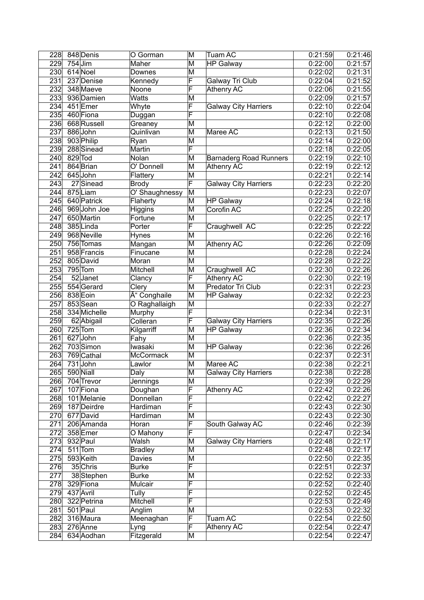| 228              | 848 Denis             | O Gorman         | M                       | Tuam AC                       | 0:21:59              | 0:21:46 |
|------------------|-----------------------|------------------|-------------------------|-------------------------------|----------------------|---------|
| 229              | $754$ Jim             | Maher            | M                       | <b>HP</b> Galway              | 0:22:00              | 0:21:57 |
| 230              | 614 Noel              | Downes           | M                       |                               | 0:22:02              | 0:21:31 |
| 231              | 237 Denise            | Kennedy          | F                       | Galway Tri Club               | 0:22:04              | 0:21:52 |
| 232              | 348 Maeve             | Noone            | F                       | <b>Athenry AC</b>             | 0:22:06              | 0:21:55 |
| 233              | 936 Damien            | Watts            | M                       |                               | 0:22:09              | 0:21:57 |
| 234              | 451 Emer              | Whyte            | F                       | <b>Galway City Harriers</b>   | 0:22:10              | 0:22:04 |
| 235              | 460 Fiona             | Duggan           | F                       |                               | 0:22:10              | 0:22:08 |
| 236              | 668 Russell           | Greaney          | $\overline{\mathsf{M}}$ |                               | 0:22:12              | 0:22:00 |
| 237              | 886 John              | Quinlivan        | M                       | Maree AC                      | 0:22:13              | 0:21:50 |
|                  | 238 903 Philip        | Ryan             | M                       |                               | 0:22:14              | 0:22:00 |
| 239              | 288 Sinead            | Martin           | F                       |                               | 0:22:18              | 0:22:05 |
| 240              | 829 Tod               | Nolan            | M                       | <b>Barnaderg Road Runners</b> | 0:22:19              | 0:22:10 |
| $\overline{241}$ | 864 Brian             | O' Donnell       | M                       | <b>Athenry AC</b>             | 0:22:19              | 0:22:12 |
| 242              | 645 John              | Flattery         | M                       |                               | 0:22:21              | 0:22:14 |
| $\overline{243}$ | 27 Sinead             | <b>Brody</b>     | F                       | <b>Galway City Harriers</b>   | 0:22:23              | 0:22:20 |
| $\overline{244}$ | 875 Liam              | O' Shaughnessy   | M                       |                               | 0:22:23              | 0:22:07 |
| 245              | 640 Patrick           | Flaherty         | M                       | <b>HP Galway</b>              | 0:22:24              | 0:22:18 |
| 246              | 969 John Joe          |                  | M                       | Corofin AC                    | $\overline{0:}22:25$ |         |
|                  |                       | Higgins          |                         |                               |                      | 0:22:20 |
| $\overline{247}$ | 650 Martin            | Fortune          | M                       |                               | 0:22:25              | 0:22:17 |
| 248              | 385 Linda             | Porter           | F                       | Craughwell AC                 | 0:22:25              | 0:22:22 |
| 249              | 968 Neville           | Hynes            | $\overline{\mathsf{M}}$ |                               | 0:22:26              | 0:22:16 |
| 250              | 756 Tomas             | Mangan           | $\overline{\mathsf{M}}$ | Athenry AC                    | 0:22:26              | 0:22:09 |
| 251              | 958 Francis           | Finucane         | M                       |                               | 0:22:28              | 0:22:24 |
| $\overline{252}$ | 805 David             | Moran            | $\overline{\mathsf{M}}$ |                               | 0:22:28              | 0:22:22 |
| 253              | $795$ Tom             | Mitchell         | M                       | Craughwell AC                 | 0:22:30              | 0:22:26 |
| 254              | $\overline{52}$ Janet | Clancy           | F                       | <b>Athenry AC</b>             | 0:22:30              | 0:22:19 |
| 255              | 554 Gerard            | Clery            | M                       | Predator Tri Club             | 0:22:31              | 0:22:23 |
| 256              | 838 Eoin              | Ó Conghaile      | M                       | <b>HP Galway</b>              | 0:22:32              | 0:22:23 |
| $\overline{257}$ | 853 Sean              | O Raghallaigh    | M                       |                               | 0:22:33              | 0:22:27 |
| 258              | 334 Michelle          | Murphy           | F                       |                               | 0:22:34              | 0:22:31 |
| 259              | 62 Abigail            | Colleran         | F                       | <b>Galway City Harriers</b>   | 0:22:35              | 0:22:26 |
| 260              | $725$ Tom             | Kilgarriff       | M                       | <b>HP Galway</b>              | 0:22:36              | 0:22:34 |
| 261              | 627 John              | Fahy             | M                       |                               | 0:22:36              | 0:22:35 |
| 262              | 703 Simon             | Iwasaki          | M                       | <b>HP Galway</b>              | 0:22:36              | 0:22:26 |
| 263              | 769 Cathal            | <b>McCormack</b> | M                       |                               | 0:22:37              | 0:22:31 |
| 264              | $731$ John            | Lawlor           | M                       | Maree AC                      | 0:22:38              | 0:22:21 |
| $\overline{265}$ | 590 Niall             | Daly             | $\overline{\mathsf{M}}$ | <b>Galway City Harriers</b>   | 0:22:38              | 0:22:28 |
| 266              | 704 Trevor            | Jennings         | M                       |                               | 0:22:39              | 0:22:29 |
| 267              | 107 Fiona             | Doughan          | F                       | Athenry AC                    | 0:22:42              | 0:22:26 |
| 268              | 101 Melanie           | Donnellan        | $\overline{\mathsf{F}}$ |                               | 0:22:42              | 0:22:27 |
| 269              | 187 Deirdre           | Hardiman         | F                       |                               | 0:22:43              | 0:22:30 |
| 270              | 677 David             | Hardiman         | M                       |                               | 0:22:43              | 0:22:30 |
| 271              | 206 Amanda            | Horan            | F                       | South Galway AC               | 0:22:46              | 0:22:39 |
| 272              | 358 Emer              | O Mahony         | $\overline{\mathsf{F}}$ |                               | 0:22:47              | 0:22:34 |
| 273              | 932 Paul              | Walsh            | $\overline{\mathsf{M}}$ | <b>Galway City Harriers</b>   | 0:22:48              | 0:22:17 |
| 274              | $511$ Tom             | <b>Bradley</b>   | M                       |                               | 0:22:48              | 0:22:17 |
| 275              | 593 Keith             | Davies           | M                       |                               | 0:22:50              | 0:22:35 |
| 276              | 35 Chris              | <b>Burke</b>     | F                       |                               | 0:22:51              | 0:22:37 |
| 277              | 38Stephen             | <b>Burke</b>     | М                       |                               | 0:22:52              | 0:22:33 |
| 278              | 329 Fiona             | Mulcair          | F                       |                               | 0:22:52              | 0:22:40 |
| 279              | 437 Avril             | Tully            | $\overline{\mathsf{F}}$ |                               | 0:22:52              | 0:22:45 |
| 280              | 322 Petrina           | <b>Mitchell</b>  | F                       |                               | 0:22:53              | 0:22:49 |
| 281              | $501$ Paul            | Anglim           | $\overline{\mathsf{M}}$ |                               | 0:22:53              | 0:22:32 |
| 282              | 316 Maura             | Meenaghan        | F                       | Tuam AC                       | 0:22:54              | 0:22:50 |
| 283              | 276 Anne              | Lyng             | F                       | Athenry AC                    | 0:22:54              | 0:22:47 |
|                  |                       |                  |                         |                               |                      |         |
| 284              | 634 Aodhan            | Fitzgerald       | M                       |                               | 0:22:54              | 0:22:47 |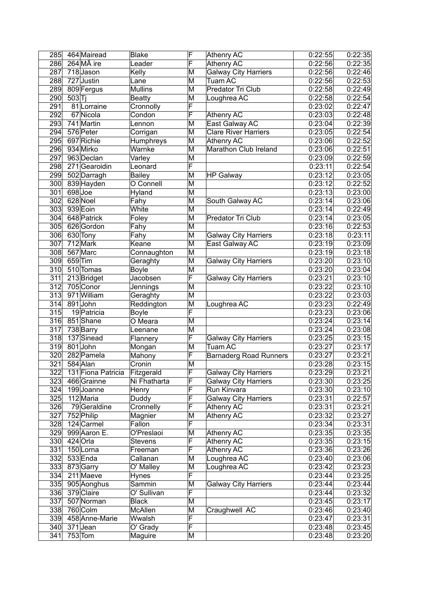| 285              |       | 464 Mairead             | <b>Blake</b>   | F                       | Athenry AC                    | 0:22:55 | 0:22:35            |
|------------------|-------|-------------------------|----------------|-------------------------|-------------------------------|---------|--------------------|
| 286              |       | $264$ M $\tilde{A}$ ire | Leader         | $\overline{\sf F}$      | <b>Athenry AC</b>             | 0:22:56 | 0:22:35            |
| 287              |       | 718Jason                | Kelly          | M                       | <b>Galway City Harriers</b>   | 0:22:56 | 0:22:46            |
| 288              |       | 727 Justin              | Lane           | M                       | Tuam AC                       | 0:22:56 | 0:22:53            |
| 289              |       | 809 Fergus              | <b>Mullins</b> | M                       | Predator Tri Club             | 0:22:58 | 0:22:49            |
| 290              | 503 T |                         | <b>Beatty</b>  | M                       | Loughrea AC                   | 0:22:58 | 0:22:54            |
| 291              |       | 81 Lorraine             | Cronnolly      | F                       |                               | 0:23:02 | 0:22:47            |
| 292              |       | 67 Nicola               | Condon         | F                       | Athenry AC                    | 0:23:03 | 0:22:48            |
| 293              |       | 741 Martin              | Lennon         | M                       | East Galway AC                | 0:23:04 | 0:22:39            |
| 294              |       | 576 Peter               | Corrigan       | M                       | <b>Clare River Harriers</b>   | 0:23:05 | 0:22:54            |
| 295              |       | 697 Richie              | Humphreys      | M                       | Athenry AC                    | 0:23:06 | 0:22:52            |
| 296              |       | 934 Mirko               | Warnke         | M                       | Marathon Club Ireland         | 0:23:06 | 0:22:51            |
| 297              |       | 963 Declan              | Varley         | M                       |                               | 0:23:09 | 0:22:59            |
| 298              |       | 271 Gearoidin           | Leonard        | $\overline{\mathsf{F}}$ |                               | 0:23:11 | 0:22:54            |
| 299              |       | 502 Darragh             | <b>Bailey</b>  | M                       | <b>HP Galway</b>              | 0:23:12 | 0:23:05            |
| 300              |       | 839 Hayden              | O Connell      | $\overline{\mathsf{M}}$ |                               | 0:23:12 | 0:22:52            |
| $\overline{301}$ |       | 698 Joe                 | Hyland         | $\overline{\mathsf{M}}$ |                               | 0:23:13 | 0:23:00            |
| 302              |       | 628 Noel                | Fahy           | M                       | South Galway AC               | 0:23:14 | 0:23:06            |
| 303              |       | 939 Eoin                | White          | M                       |                               | 0:23:14 | 0:22:49            |
| $\overline{304}$ |       | 648 Patrick             | Foley          | M                       | Predator Tri Club             | 0:23:14 | 0:23:05            |
| $\overline{305}$ |       | 626 Gordon              |                | M                       |                               | 0:23:16 |                    |
| 306              |       |                         | Fahy           | M                       |                               | 0:23:18 | 0:22:53<br>0:23:11 |
|                  |       | 630 Tony<br>712 Mark    | Fahy           | M                       | <b>Galway City Harriers</b>   |         |                    |
| 307              |       |                         | Keane          |                         | East Galway AC                | 0:23:19 | 0:23:09            |
| 308              |       | 567 Marc                | Connaughton    | M                       |                               | 0:23:19 | 0:23:18            |
| 309              |       | 659 Tim                 | Geraghty       | $\overline{\mathsf{M}}$ | <b>Galway City Harriers</b>   | 0:23:20 | 0:23:10            |
| 310              |       | 510 Tomas               | <b>Boyle</b>   | M                       |                               | 0:23:20 | 0:23:04            |
| 311              |       | 213 Bridget             | Jacobsen       | $\overline{\mathsf{F}}$ | <b>Galway City Harriers</b>   | 0:23:21 | 0:23:10            |
| 312              |       | 705 Conor               | Jennings       | M                       |                               | 0:23:22 | 0:23:10            |
| 313              |       | 971 William             | Geraghty       | M                       |                               | 0:23:22 | 0:23:03            |
| 314              |       | 891John                 | Reddington     | M                       | Loughrea AC                   | 0:23:23 | 0:22:49            |
| 315              |       | 19 Patricia             | <b>Boyle</b>   | F                       |                               | 0:23:23 | 0:23:06            |
| 316              |       | 851Shane                | O Meara        | M                       |                               | 0:23:24 | 0:23:14            |
| 317              |       | 738 Barry               | Leenane        | M                       |                               | 0:23:24 | 0:23:08            |
| 318              |       | 137 Sinead              | Flannery       | F                       | <b>Galway City Harriers</b>   | 0:23:25 | 0:23:15            |
| 319              |       | 801 John                | Mongan         | M                       | Tuam AC                       | 0:23:27 | 0:23:17            |
| 320              |       | 282 Pamela              | Mahony         | F                       | <b>Barnaderg Road Runners</b> | 0:23:27 | 0:23:21            |
| 321              |       | 584 Alan                | Cronin         | M                       |                               | 0:23:28 | 0:23:15            |
| 322              |       | 131 Fiona Patricia      | Fitzgerald     | ۲                       | <b>Galway City Harriers</b>   | 0:23:29 | 0:23:21            |
| $\overline{3}23$ |       | 466 Grainne             | Ni Fhatharta   | F                       | <b>Galway City Harriers</b>   | 0:23:30 | 0:23:25            |
| 324              |       | 199Joanne               | Henry          | F                       | Run Kinvara                   | 0:23:30 | 0:23:10            |
| 325              |       | 112 Maria               | Duddy          | F                       | <b>Galway City Harriers</b>   | 0:23:31 | 0:22:57            |
| 326              |       | 79Geraldine             | Cronnelly      | F                       | Athenry AC                    | 0:23:31 | 0:23:21            |
| 327              |       | 752 Philip              | Magnier        | M                       | Athenry AC                    | 0:23:32 | 0:23:27            |
| 328              |       | 124 Carmel              | Fallon         | F                       |                               | 0:23:34 | 0:23:31            |
| 329              |       | 999 Aaron E.            | O'Preslaoi     | M                       | Athenry AC                    | 0:23:35 | 0:23:35            |
| 330              |       | 424 Orla                | <b>Stevens</b> | F                       | Athenry AC                    | 0:23:35 | 0:23:15            |
| 331              |       | 150Lorna                | Freeman        | F                       | Athenry AC                    | 0:23:36 | 0:23:26            |
| 332              |       | 533 Enda                | Callanan       | M                       | Loughrea AC                   | 0:23:40 | 0:23:06            |
| 333              |       | 873 Garry               | O' Malley      | M                       | Loughrea AC                   | 0:23:42 | 0:23:23            |
| 334              |       | 211 Maeve               | Hynes          | F                       |                               | 0:23:44 | 0:23:25            |
| 335              |       | 905 Aonghus             | Sammin         | M                       | <b>Galway City Harriers</b>   | 0:23:44 | 0:23:44            |
| 336              |       | 379 Claire              | O' Sullivan    | F                       |                               | 0:23:44 | 0:23:32            |
| 337              |       | 507 Norman              | <b>Black</b>   | M                       |                               | 0:23:45 | 0:23:17            |
| 338              |       | 760 Colm                | McAllen        | M                       | Craughwell AC                 | 0:23:46 | 0:23:40            |
| 339              |       | 458 Anne-Marie          | Wwalsh         | F                       |                               | 0:23:47 | 0:23:31            |
| 340              |       | $371$ Jean              | O' Grady       | F                       |                               | 0:23:48 | 0:23:45            |
| 341              |       | $753$ Tom               | Maguire        | M                       |                               | 0:23:48 | 0:23:20            |
|                  |       |                         |                |                         |                               |         |                    |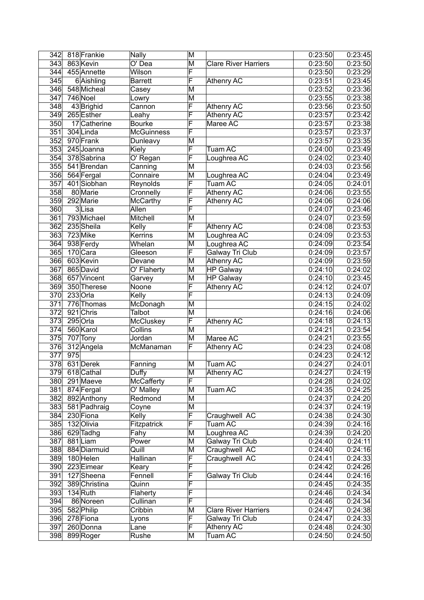|                  |            | 342 818 Frankie         | Nally              | M                       |                             | 0:23:50 | 0:23:45 |
|------------------|------------|-------------------------|--------------------|-------------------------|-----------------------------|---------|---------|
| 343              | 863 Kevin  |                         | $\overline{O}$ Dea | M                       | <b>Clare River Harriers</b> | 0:23:50 | 0:23:50 |
| 344              |            | 455 Annette             | Wilson             | F                       |                             | 0:23:50 | 0:23:29 |
| 345              |            | 6 Aishling              | <b>Barrett</b>     | F                       | <b>Athenry AC</b>           | 0:23:51 | 0:23:45 |
| 346              |            | 548 Micheal             | Casey              | M                       |                             | 0:23:52 | 0:23:36 |
| 347              | 746 Noel   |                         | Lowry              | M                       |                             | 0:23:55 | 0:23:38 |
| 348              |            | 43 Brighid              | Cannon             | $\overline{\mathsf{F}}$ | Athenry AC                  | 0:23:56 | 0:23:50 |
| 349              |            | 265 Esther              | Leahy              | F                       | Athenry AC                  | 0:23:57 | 0:23:42 |
| $\overline{350}$ |            | 17 Catherine            | <b>Bourke</b>      | F                       | Maree AC                    | 0:23:57 | 0:23:38 |
| 351              | 304 Linda  |                         | <b>McGuinness</b>  | $\overline{\sf F}$      |                             | 0:23:57 | 0:23:37 |
| $\overline{352}$ | 970 Frank  |                         | Dunleavy           | M                       |                             | 0:23:57 | 0:23:35 |
| 353              |            | $\overline{245}$ Joanna | Kiely              | F                       | Tuam AC                     | 0:24:00 | 0:23:49 |
| 354              |            | 378 Sabrina             | O' Regan           | F                       | Loughrea AC                 | 0:24:02 | 0:23:40 |
| 355              |            | 541 Brendan             | Canning            | M                       |                             | 0:24:03 | 0:23:56 |
| 356              | 564 Fergal |                         | Connaire           | $\overline{\mathsf{M}}$ | Loughrea AC                 | 0:24:04 | 0:23:49 |
| $\overline{357}$ |            | 401 Siobhan             | Reynolds           | F                       | <b>Tuam AC</b>              | 0:24:05 | 0:24:01 |
| 358              |            | 80 Marie                | Cronnelly          | F                       | <b>Athenry AC</b>           | 0:24:06 | 0:23:55 |
| 359              | 292 Marie  |                         | <b>McCarthy</b>    | F                       | Athenry AC                  | 0:24:06 | 0:24:06 |
| 360              |            | 3Lisa                   | Allen              | F                       |                             | 0:24:07 | 0:23:46 |
| 361              |            | 793 Michael             | Mitchell           | M                       |                             | 0:24:07 | 0:23:59 |
| 362              | 235 Sheila |                         | Kelly              | F                       | Athenry AC                  | 0:24:08 | 0:23:53 |
| 363              | 723 Mike   |                         | <b>Kerrins</b>     | M                       | Loughrea AC                 | 0:24:09 | 0:23:53 |
| 364              | 938 Ferdy  |                         | Whelan             | $\overline{\mathsf{M}}$ | Loughrea AC                 | 0:24:09 | 0:23:54 |
| 365              | 170 Cara   |                         | Gleeson            | F                       | <b>Galway Tri Club</b>      | 0:24:09 | 0:23:57 |
| 366              | 603 Kevin  |                         | Devane             | M                       | Athenry AC                  | 0:24:09 | 0:23:59 |
| 367              | 865 David  |                         | O' Flaherty        | M                       | HP Galway                   | 0:24:10 | 0:24:02 |
| 368              |            | 657 Vincent             | Garvey             | M                       | <b>HP Galway</b>            | 0:24:10 | 0:23:45 |
| 369              |            | 350 Therese             | Noone              | $\overline{\mathsf{F}}$ | <b>Athenry AC</b>           | 0:24:12 | 0:24:07 |
| 370              | 233 Orla   |                         | Kelly              | F                       |                             | 0:24:13 | 0:24:09 |
| 371              |            | 776 Thomas              | McDonagh           | $\overline{\mathsf{M}}$ |                             | 0:24:15 | 0:24:02 |
| 372              | 921 Chris  |                         | Talbot             | M                       |                             | 0:24:16 | 0:24:06 |
| $\overline{373}$ | 295 Orla   |                         | McCluskey          | F                       | Athenry AC                  | 0:24:18 | 0:24:13 |
| 374              | 560 Karol  |                         | Collins            | M                       |                             | 0:24:21 | 0:23:54 |
| 375              | 707 Tony   |                         | Jordan             | M                       | Maree AC                    | 0:24:21 | 0:23:55 |
| 376              |            | 312 Angela              | McManaman          | F                       | <b>Athenry AC</b>           | 0:24:23 | 0:24:08 |
| 377              | 975        |                         |                    |                         |                             | 0:24:23 | 0:24:12 |
| 378              | 631 Derek  |                         | Fanning            | M                       | Tuam AC                     | 0:24:27 | 0:24:01 |
| $\overline{379}$ |            | 618 Cathal              | Duffy              | M                       | ∣Athenry AC                 | 0:24:27 | 0:24:19 |
| 380              |            | 291 Maeve               | McCafferty         | F                       |                             | 0:24:28 | 0:24:02 |
| 381              |            | 874 Fergal              | O' Malley          | M                       | Tuam AC                     | 0:24:35 | 0:24:25 |
| 382              |            | 892 Anthony             | Redmond            | M                       |                             | 0:24:37 | 0:24:20 |
| 383              |            | 581 Padhraig            | Coyne              | M                       |                             | 0:24:37 | 0:24:19 |
| 384              | 230 Fiona  |                         | Kelly              | F                       | Craughwell AC               | 0:24:38 | 0:24:30 |
| 385              | 132 Olivia |                         | <b>Fitzpatrick</b> | F                       | Tuam AC                     | 0:24:39 | 0:24:16 |
| 386              | 629 Tadhg  |                         | Fahy               | M                       | Loughrea AC                 | 0:24:39 | 0:24:20 |
| 387              | 881Liam    |                         | Power              | M                       | Galway Tri Club             | 0:24:40 | 0:24:11 |
| 388              |            | 884 Diarmuid            | Quill              | M                       | Craughwell AC               | 0:24:40 | 0:24:16 |
| 389              | 180 Helen  |                         | Hallinan           | F                       | Craughwell AC               | 0:24:41 | 0:24:33 |
| 390              |            | 223 Eimear              | Keary              | $\overline{\mathsf{F}}$ |                             | 0:24:42 | 0:24:26 |
| 391              |            | 127 Sheena              | Fennell            | F                       | Galway Tri Club             | 0:24:44 | 0:24:16 |
| 392              |            | 389 Christina           | Quinn              | $\overline{\mathsf{F}}$ |                             | 0:24:45 | 0:24:35 |
| 393              | $134$ Ruth |                         | Flaherty           | $\overline{\mathsf{F}}$ |                             | 0:24:46 | 0:24:34 |
| 394              |            | 86 Noreen               | Cullinan           | $\overline{\mathsf{F}}$ |                             | 0:24:46 | 0:24:34 |
| 395              | 582 Philip |                         | Cribbin            | M                       | <b>Clare River Harriers</b> | 0:24:47 | 0:24:38 |
| 396              | 278 Fiona  |                         | Lyons              | F                       | Galway Tri Club             | 0:24:47 | 0:24:33 |
| 397              |            | 260 Donna               | Lane               | F                       | Athenry AC                  | 0:24:48 | 0:24:30 |
| 398              |            | 899 Roger               | Rushe              | M                       | Tuam AC                     | 0:24:50 | 0:24:50 |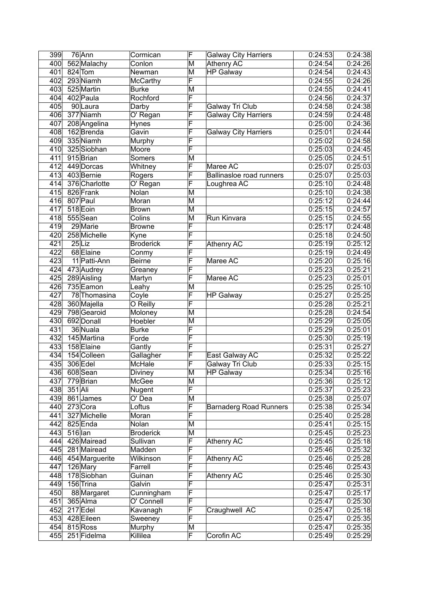| 400<br>562 Malachy<br>M<br>Athenry AC<br>0:24:54<br>Conlon<br>0:24:54<br>401<br>$824$ Tom<br>M<br><b>HP Galway</b><br>Newman<br>F<br>402<br>293 Niamh<br>0:24:55<br>0:24:26<br><b>McCarthy</b><br>403<br>525 Martin<br>0:24:55<br>0:24:41<br><b>Burke</b><br>M<br>F<br>402 Paula<br>0:24:56<br>404<br>Rochford<br>0:24:37<br>F<br>405<br>90Laura<br><b>Galway Tri Club</b><br>0:24:58<br>0:24:38<br>Darby<br>F<br>406<br>377 Niamh<br><b>Galway City Harriers</b><br>0:24:59<br>O' Regan<br>0:24:48<br>F<br>407<br>0:24:36<br>208 Angelina<br>0:25:00<br>Hynes<br>F<br>408<br><b>Galway City Harriers</b><br>162Brenda<br>0:25:01<br>0:24:44<br>Gavin<br>F<br>335 Niamh<br>409<br>0:25:02<br>0:24:58<br>Murphy<br>F<br>410<br>325 Siobhan<br>0:25:03<br>0:24:45<br>Moore<br>411<br>915 Brian<br>M<br>0:25:05<br>0:24:51<br>Somers<br>$\overline{\mathsf{F}}$<br>412<br>449 Dorcas<br>0:25:07<br>0:25:03<br>Whitney<br>Maree AC<br>F<br>413<br>403 Bernie<br>0:25:07<br>0:25:03<br>Ballinasloe road runners<br>Rogers<br>F<br>414<br>376 Charlotte<br>0:25:10<br>0:24:48<br>Loughrea AC<br>O' Regan<br>$\overline{415}$<br>826 Frank<br>0:25:10<br>0:24:38<br>Nolan<br>M<br>807 Paul<br>416<br>M<br>0:25:12<br>0:24:44<br>Moran<br>417<br>518 Eoin<br>M<br>0:25:15<br>0:24:57<br><b>Brown</b><br>418<br>555 Sean<br>M<br>Run Kinvara<br>0:25:15<br>Colins<br>0:24:55<br>F<br>419<br>29 Marie<br>0:25:17<br>0:24:48<br><b>Browne</b><br>$\overline{\mathsf{F}}$<br>420<br>258 Michelle<br>0:25:18<br>0:24:50<br>Kyne<br>F<br>421<br>$25$ Liz<br><b>Athenry AC</b><br>0:25:19<br>0:25:12<br><b>Broderick</b><br>$\overline{\sf F}$<br>422<br>68 Elaine<br>0:25:19<br>0:24:49<br>Conmy<br>$\overline{\mathsf{F}}$<br>$\overline{423}$<br>0:25:20<br>11 Patti-Ann<br><b>Beirne</b><br>Maree AC<br>F<br>424<br>473 Audrey<br>0:25:23<br>0:25:21<br>Greaney<br>F<br>425<br>289 Aisling<br>Maree AC<br>0:25:23<br>0:25:01<br>Martyn<br>426<br>735 Eamon<br>M<br>0:25:25<br>0:25:10<br>Leahy<br>$\overline{\mathsf{F}}$<br>427<br>78 Thomasina<br>Coyle<br><b>HP Galway</b><br>0:25:27<br>0:25:25<br>$\overline{\mathsf{F}}$<br>428<br>0:25:28<br>0:25:21<br>360 Majella<br>O Reilly<br>429<br>798 Gearoid<br>0:25:28<br>M<br>0:24:54<br>Moloney<br>430<br>0:25:29<br>692 Donall<br>M<br>0:25:05<br>Hoebler<br>F<br>431<br>0:25:29<br>36 Nuala<br><b>Burke</b><br>0:25:01<br>F<br>432<br>0:25:30<br>0:25:19<br>145 Martina<br>Forde<br>F<br>433<br>158 Elaine<br>0:25:31<br>0:25:27<br>Gantly<br>F<br>434<br>154 Colleen<br>Gallagher<br>0:25:32<br>0:25:22<br>East Galway AC<br>F<br>435<br><b>Galway Tri Club</b><br>0:25:33<br>306 Edel<br>McHale<br>0:25:15<br>0:25:16<br>436<br>608 Sean<br>0:25:34<br><b>Diviney</b><br>$\overline{\mathsf{M}}$<br><b>HP Galway</b><br>437<br>779 Brian<br>M<br>0:25:36<br>0:25:12<br>McGee<br>F<br>438<br>$351$ Ali<br>0:25:37<br>0:25:23<br>Nugent<br>439<br>M<br>0:25:38<br>861 James<br>O' Dea<br>0:25:07<br>F<br>440<br>273 Cora<br><b>Barnaderg Road Runners</b><br>0:25:38<br>0:25:34<br>Loftus<br>F<br>441<br>327 Michelle<br>0:25:40<br>0:25:28<br>Moran<br>442<br>825 Enda<br>Nolan<br>M<br>0:25:41<br>0:25:15<br>443<br>$516$ lan<br>0:25:45<br><b>Broderick</b><br>M<br>0:25:23<br>$\overline{\mathsf{F}}$<br>444<br>426 Mairead<br>Sullivan<br>Athenry AC<br>0:25:45<br>0:25:18<br>$\overline{\mathsf{F}}$<br>445<br>281 Mairead<br>0:25:46<br>0:25:32<br>Madden<br>F<br>446<br>454 Marguerite<br>Wilkinson<br><b>Athenry AC</b><br>0:25:46<br>0:25:28<br>F<br>447<br>126 Mary<br>Farrell<br>0:25:46<br>0:25:43<br>F<br>178 Siobhan<br>Athenry AC<br>0:25:46<br>0:25:30<br>448<br>Guinan<br>F<br>449<br>156 Trina<br>0:25:47<br>Galvin<br>F<br>450<br>88 Margaret<br>Cunningham<br>0:25:47<br>$\overline{\mathsf{F}}$<br>451<br>365 Alma<br>O' Connell<br>0:25:47<br>F<br>452<br>$217$ Edel<br>Kavanagh<br>Craughwell AC<br>0:25:47<br>F<br>453<br>428 Eileen<br>0:25:47<br>Sweeney<br>454<br>815 Ross<br>M<br>0:25:47<br>Murphy<br>F<br>Corofin AC<br>455<br>Killilea<br>0:25:49<br>251 Fidelma | 399 | $76$ Ann | Cormican | F | <b>Galway City Harriers</b> | 0:24:53 | 0:24:38               |
|--------------------------------------------------------------------------------------------------------------------------------------------------------------------------------------------------------------------------------------------------------------------------------------------------------------------------------------------------------------------------------------------------------------------------------------------------------------------------------------------------------------------------------------------------------------------------------------------------------------------------------------------------------------------------------------------------------------------------------------------------------------------------------------------------------------------------------------------------------------------------------------------------------------------------------------------------------------------------------------------------------------------------------------------------------------------------------------------------------------------------------------------------------------------------------------------------------------------------------------------------------------------------------------------------------------------------------------------------------------------------------------------------------------------------------------------------------------------------------------------------------------------------------------------------------------------------------------------------------------------------------------------------------------------------------------------------------------------------------------------------------------------------------------------------------------------------------------------------------------------------------------------------------------------------------------------------------------------------------------------------------------------------------------------------------------------------------------------------------------------------------------------------------------------------------------------------------------------------------------------------------------------------------------------------------------------------------------------------------------------------------------------------------------------------------------------------------------------------------------------------------------------------------------------------------------------------------------------------------------------------------------------------------------------------------------------------------------------------------------------------------------------------------------------------------------------------------------------------------------------------------------------------------------------------------------------------------------------------------------------------------------------------------------------------------------------------------------------------------------------------------------------------------------------------------------------------------------------------------------------------------------------------------------------------------------------------------------------------------------------------------------------------------------------------------------------------------------------------------------------------------------------------------------------------------------------------------------------------------------------------------------------------------------------------------------------------------------------------------------------------------------------------------------------------------------------------------------------------------------------------------------------------------------------------------------------------------------------------------------------------------------------------------------------|-----|----------|----------|---|-----------------------------|---------|-----------------------|
|                                                                                                                                                                                                                                                                                                                                                                                                                                                                                                                                                                                                                                                                                                                                                                                                                                                                                                                                                                                                                                                                                                                                                                                                                                                                                                                                                                                                                                                                                                                                                                                                                                                                                                                                                                                                                                                                                                                                                                                                                                                                                                                                                                                                                                                                                                                                                                                                                                                                                                                                                                                                                                                                                                                                                                                                                                                                                                                                                                                                                                                                                                                                                                                                                                                                                                                                                                                                                                                                                                                                                                                                                                                                                                                                                                                                                                                                                                                                                                                                                                            |     |          |          |   |                             |         | 0:24:26               |
|                                                                                                                                                                                                                                                                                                                                                                                                                                                                                                                                                                                                                                                                                                                                                                                                                                                                                                                                                                                                                                                                                                                                                                                                                                                                                                                                                                                                                                                                                                                                                                                                                                                                                                                                                                                                                                                                                                                                                                                                                                                                                                                                                                                                                                                                                                                                                                                                                                                                                                                                                                                                                                                                                                                                                                                                                                                                                                                                                                                                                                                                                                                                                                                                                                                                                                                                                                                                                                                                                                                                                                                                                                                                                                                                                                                                                                                                                                                                                                                                                                            |     |          |          |   |                             |         | 0:24:43               |
|                                                                                                                                                                                                                                                                                                                                                                                                                                                                                                                                                                                                                                                                                                                                                                                                                                                                                                                                                                                                                                                                                                                                                                                                                                                                                                                                                                                                                                                                                                                                                                                                                                                                                                                                                                                                                                                                                                                                                                                                                                                                                                                                                                                                                                                                                                                                                                                                                                                                                                                                                                                                                                                                                                                                                                                                                                                                                                                                                                                                                                                                                                                                                                                                                                                                                                                                                                                                                                                                                                                                                                                                                                                                                                                                                                                                                                                                                                                                                                                                                                            |     |          |          |   |                             |         |                       |
|                                                                                                                                                                                                                                                                                                                                                                                                                                                                                                                                                                                                                                                                                                                                                                                                                                                                                                                                                                                                                                                                                                                                                                                                                                                                                                                                                                                                                                                                                                                                                                                                                                                                                                                                                                                                                                                                                                                                                                                                                                                                                                                                                                                                                                                                                                                                                                                                                                                                                                                                                                                                                                                                                                                                                                                                                                                                                                                                                                                                                                                                                                                                                                                                                                                                                                                                                                                                                                                                                                                                                                                                                                                                                                                                                                                                                                                                                                                                                                                                                                            |     |          |          |   |                             |         |                       |
|                                                                                                                                                                                                                                                                                                                                                                                                                                                                                                                                                                                                                                                                                                                                                                                                                                                                                                                                                                                                                                                                                                                                                                                                                                                                                                                                                                                                                                                                                                                                                                                                                                                                                                                                                                                                                                                                                                                                                                                                                                                                                                                                                                                                                                                                                                                                                                                                                                                                                                                                                                                                                                                                                                                                                                                                                                                                                                                                                                                                                                                                                                                                                                                                                                                                                                                                                                                                                                                                                                                                                                                                                                                                                                                                                                                                                                                                                                                                                                                                                                            |     |          |          |   |                             |         |                       |
|                                                                                                                                                                                                                                                                                                                                                                                                                                                                                                                                                                                                                                                                                                                                                                                                                                                                                                                                                                                                                                                                                                                                                                                                                                                                                                                                                                                                                                                                                                                                                                                                                                                                                                                                                                                                                                                                                                                                                                                                                                                                                                                                                                                                                                                                                                                                                                                                                                                                                                                                                                                                                                                                                                                                                                                                                                                                                                                                                                                                                                                                                                                                                                                                                                                                                                                                                                                                                                                                                                                                                                                                                                                                                                                                                                                                                                                                                                                                                                                                                                            |     |          |          |   |                             |         |                       |
|                                                                                                                                                                                                                                                                                                                                                                                                                                                                                                                                                                                                                                                                                                                                                                                                                                                                                                                                                                                                                                                                                                                                                                                                                                                                                                                                                                                                                                                                                                                                                                                                                                                                                                                                                                                                                                                                                                                                                                                                                                                                                                                                                                                                                                                                                                                                                                                                                                                                                                                                                                                                                                                                                                                                                                                                                                                                                                                                                                                                                                                                                                                                                                                                                                                                                                                                                                                                                                                                                                                                                                                                                                                                                                                                                                                                                                                                                                                                                                                                                                            |     |          |          |   |                             |         |                       |
|                                                                                                                                                                                                                                                                                                                                                                                                                                                                                                                                                                                                                                                                                                                                                                                                                                                                                                                                                                                                                                                                                                                                                                                                                                                                                                                                                                                                                                                                                                                                                                                                                                                                                                                                                                                                                                                                                                                                                                                                                                                                                                                                                                                                                                                                                                                                                                                                                                                                                                                                                                                                                                                                                                                                                                                                                                                                                                                                                                                                                                                                                                                                                                                                                                                                                                                                                                                                                                                                                                                                                                                                                                                                                                                                                                                                                                                                                                                                                                                                                                            |     |          |          |   |                             |         |                       |
|                                                                                                                                                                                                                                                                                                                                                                                                                                                                                                                                                                                                                                                                                                                                                                                                                                                                                                                                                                                                                                                                                                                                                                                                                                                                                                                                                                                                                                                                                                                                                                                                                                                                                                                                                                                                                                                                                                                                                                                                                                                                                                                                                                                                                                                                                                                                                                                                                                                                                                                                                                                                                                                                                                                                                                                                                                                                                                                                                                                                                                                                                                                                                                                                                                                                                                                                                                                                                                                                                                                                                                                                                                                                                                                                                                                                                                                                                                                                                                                                                                            |     |          |          |   |                             |         |                       |
|                                                                                                                                                                                                                                                                                                                                                                                                                                                                                                                                                                                                                                                                                                                                                                                                                                                                                                                                                                                                                                                                                                                                                                                                                                                                                                                                                                                                                                                                                                                                                                                                                                                                                                                                                                                                                                                                                                                                                                                                                                                                                                                                                                                                                                                                                                                                                                                                                                                                                                                                                                                                                                                                                                                                                                                                                                                                                                                                                                                                                                                                                                                                                                                                                                                                                                                                                                                                                                                                                                                                                                                                                                                                                                                                                                                                                                                                                                                                                                                                                                            |     |          |          |   |                             |         |                       |
|                                                                                                                                                                                                                                                                                                                                                                                                                                                                                                                                                                                                                                                                                                                                                                                                                                                                                                                                                                                                                                                                                                                                                                                                                                                                                                                                                                                                                                                                                                                                                                                                                                                                                                                                                                                                                                                                                                                                                                                                                                                                                                                                                                                                                                                                                                                                                                                                                                                                                                                                                                                                                                                                                                                                                                                                                                                                                                                                                                                                                                                                                                                                                                                                                                                                                                                                                                                                                                                                                                                                                                                                                                                                                                                                                                                                                                                                                                                                                                                                                                            |     |          |          |   |                             |         |                       |
|                                                                                                                                                                                                                                                                                                                                                                                                                                                                                                                                                                                                                                                                                                                                                                                                                                                                                                                                                                                                                                                                                                                                                                                                                                                                                                                                                                                                                                                                                                                                                                                                                                                                                                                                                                                                                                                                                                                                                                                                                                                                                                                                                                                                                                                                                                                                                                                                                                                                                                                                                                                                                                                                                                                                                                                                                                                                                                                                                                                                                                                                                                                                                                                                                                                                                                                                                                                                                                                                                                                                                                                                                                                                                                                                                                                                                                                                                                                                                                                                                                            |     |          |          |   |                             |         |                       |
|                                                                                                                                                                                                                                                                                                                                                                                                                                                                                                                                                                                                                                                                                                                                                                                                                                                                                                                                                                                                                                                                                                                                                                                                                                                                                                                                                                                                                                                                                                                                                                                                                                                                                                                                                                                                                                                                                                                                                                                                                                                                                                                                                                                                                                                                                                                                                                                                                                                                                                                                                                                                                                                                                                                                                                                                                                                                                                                                                                                                                                                                                                                                                                                                                                                                                                                                                                                                                                                                                                                                                                                                                                                                                                                                                                                                                                                                                                                                                                                                                                            |     |          |          |   |                             |         |                       |
|                                                                                                                                                                                                                                                                                                                                                                                                                                                                                                                                                                                                                                                                                                                                                                                                                                                                                                                                                                                                                                                                                                                                                                                                                                                                                                                                                                                                                                                                                                                                                                                                                                                                                                                                                                                                                                                                                                                                                                                                                                                                                                                                                                                                                                                                                                                                                                                                                                                                                                                                                                                                                                                                                                                                                                                                                                                                                                                                                                                                                                                                                                                                                                                                                                                                                                                                                                                                                                                                                                                                                                                                                                                                                                                                                                                                                                                                                                                                                                                                                                            |     |          |          |   |                             |         |                       |
|                                                                                                                                                                                                                                                                                                                                                                                                                                                                                                                                                                                                                                                                                                                                                                                                                                                                                                                                                                                                                                                                                                                                                                                                                                                                                                                                                                                                                                                                                                                                                                                                                                                                                                                                                                                                                                                                                                                                                                                                                                                                                                                                                                                                                                                                                                                                                                                                                                                                                                                                                                                                                                                                                                                                                                                                                                                                                                                                                                                                                                                                                                                                                                                                                                                                                                                                                                                                                                                                                                                                                                                                                                                                                                                                                                                                                                                                                                                                                                                                                                            |     |          |          |   |                             |         |                       |
|                                                                                                                                                                                                                                                                                                                                                                                                                                                                                                                                                                                                                                                                                                                                                                                                                                                                                                                                                                                                                                                                                                                                                                                                                                                                                                                                                                                                                                                                                                                                                                                                                                                                                                                                                                                                                                                                                                                                                                                                                                                                                                                                                                                                                                                                                                                                                                                                                                                                                                                                                                                                                                                                                                                                                                                                                                                                                                                                                                                                                                                                                                                                                                                                                                                                                                                                                                                                                                                                                                                                                                                                                                                                                                                                                                                                                                                                                                                                                                                                                                            |     |          |          |   |                             |         |                       |
|                                                                                                                                                                                                                                                                                                                                                                                                                                                                                                                                                                                                                                                                                                                                                                                                                                                                                                                                                                                                                                                                                                                                                                                                                                                                                                                                                                                                                                                                                                                                                                                                                                                                                                                                                                                                                                                                                                                                                                                                                                                                                                                                                                                                                                                                                                                                                                                                                                                                                                                                                                                                                                                                                                                                                                                                                                                                                                                                                                                                                                                                                                                                                                                                                                                                                                                                                                                                                                                                                                                                                                                                                                                                                                                                                                                                                                                                                                                                                                                                                                            |     |          |          |   |                             |         |                       |
|                                                                                                                                                                                                                                                                                                                                                                                                                                                                                                                                                                                                                                                                                                                                                                                                                                                                                                                                                                                                                                                                                                                                                                                                                                                                                                                                                                                                                                                                                                                                                                                                                                                                                                                                                                                                                                                                                                                                                                                                                                                                                                                                                                                                                                                                                                                                                                                                                                                                                                                                                                                                                                                                                                                                                                                                                                                                                                                                                                                                                                                                                                                                                                                                                                                                                                                                                                                                                                                                                                                                                                                                                                                                                                                                                                                                                                                                                                                                                                                                                                            |     |          |          |   |                             |         |                       |
|                                                                                                                                                                                                                                                                                                                                                                                                                                                                                                                                                                                                                                                                                                                                                                                                                                                                                                                                                                                                                                                                                                                                                                                                                                                                                                                                                                                                                                                                                                                                                                                                                                                                                                                                                                                                                                                                                                                                                                                                                                                                                                                                                                                                                                                                                                                                                                                                                                                                                                                                                                                                                                                                                                                                                                                                                                                                                                                                                                                                                                                                                                                                                                                                                                                                                                                                                                                                                                                                                                                                                                                                                                                                                                                                                                                                                                                                                                                                                                                                                                            |     |          |          |   |                             |         |                       |
|                                                                                                                                                                                                                                                                                                                                                                                                                                                                                                                                                                                                                                                                                                                                                                                                                                                                                                                                                                                                                                                                                                                                                                                                                                                                                                                                                                                                                                                                                                                                                                                                                                                                                                                                                                                                                                                                                                                                                                                                                                                                                                                                                                                                                                                                                                                                                                                                                                                                                                                                                                                                                                                                                                                                                                                                                                                                                                                                                                                                                                                                                                                                                                                                                                                                                                                                                                                                                                                                                                                                                                                                                                                                                                                                                                                                                                                                                                                                                                                                                                            |     |          |          |   |                             |         |                       |
|                                                                                                                                                                                                                                                                                                                                                                                                                                                                                                                                                                                                                                                                                                                                                                                                                                                                                                                                                                                                                                                                                                                                                                                                                                                                                                                                                                                                                                                                                                                                                                                                                                                                                                                                                                                                                                                                                                                                                                                                                                                                                                                                                                                                                                                                                                                                                                                                                                                                                                                                                                                                                                                                                                                                                                                                                                                                                                                                                                                                                                                                                                                                                                                                                                                                                                                                                                                                                                                                                                                                                                                                                                                                                                                                                                                                                                                                                                                                                                                                                                            |     |          |          |   |                             |         |                       |
|                                                                                                                                                                                                                                                                                                                                                                                                                                                                                                                                                                                                                                                                                                                                                                                                                                                                                                                                                                                                                                                                                                                                                                                                                                                                                                                                                                                                                                                                                                                                                                                                                                                                                                                                                                                                                                                                                                                                                                                                                                                                                                                                                                                                                                                                                                                                                                                                                                                                                                                                                                                                                                                                                                                                                                                                                                                                                                                                                                                                                                                                                                                                                                                                                                                                                                                                                                                                                                                                                                                                                                                                                                                                                                                                                                                                                                                                                                                                                                                                                                            |     |          |          |   |                             |         |                       |
|                                                                                                                                                                                                                                                                                                                                                                                                                                                                                                                                                                                                                                                                                                                                                                                                                                                                                                                                                                                                                                                                                                                                                                                                                                                                                                                                                                                                                                                                                                                                                                                                                                                                                                                                                                                                                                                                                                                                                                                                                                                                                                                                                                                                                                                                                                                                                                                                                                                                                                                                                                                                                                                                                                                                                                                                                                                                                                                                                                                                                                                                                                                                                                                                                                                                                                                                                                                                                                                                                                                                                                                                                                                                                                                                                                                                                                                                                                                                                                                                                                            |     |          |          |   |                             |         |                       |
|                                                                                                                                                                                                                                                                                                                                                                                                                                                                                                                                                                                                                                                                                                                                                                                                                                                                                                                                                                                                                                                                                                                                                                                                                                                                                                                                                                                                                                                                                                                                                                                                                                                                                                                                                                                                                                                                                                                                                                                                                                                                                                                                                                                                                                                                                                                                                                                                                                                                                                                                                                                                                                                                                                                                                                                                                                                                                                                                                                                                                                                                                                                                                                                                                                                                                                                                                                                                                                                                                                                                                                                                                                                                                                                                                                                                                                                                                                                                                                                                                                            |     |          |          |   |                             |         |                       |
|                                                                                                                                                                                                                                                                                                                                                                                                                                                                                                                                                                                                                                                                                                                                                                                                                                                                                                                                                                                                                                                                                                                                                                                                                                                                                                                                                                                                                                                                                                                                                                                                                                                                                                                                                                                                                                                                                                                                                                                                                                                                                                                                                                                                                                                                                                                                                                                                                                                                                                                                                                                                                                                                                                                                                                                                                                                                                                                                                                                                                                                                                                                                                                                                                                                                                                                                                                                                                                                                                                                                                                                                                                                                                                                                                                                                                                                                                                                                                                                                                                            |     |          |          |   |                             |         | 0:25:16               |
|                                                                                                                                                                                                                                                                                                                                                                                                                                                                                                                                                                                                                                                                                                                                                                                                                                                                                                                                                                                                                                                                                                                                                                                                                                                                                                                                                                                                                                                                                                                                                                                                                                                                                                                                                                                                                                                                                                                                                                                                                                                                                                                                                                                                                                                                                                                                                                                                                                                                                                                                                                                                                                                                                                                                                                                                                                                                                                                                                                                                                                                                                                                                                                                                                                                                                                                                                                                                                                                                                                                                                                                                                                                                                                                                                                                                                                                                                                                                                                                                                                            |     |          |          |   |                             |         |                       |
|                                                                                                                                                                                                                                                                                                                                                                                                                                                                                                                                                                                                                                                                                                                                                                                                                                                                                                                                                                                                                                                                                                                                                                                                                                                                                                                                                                                                                                                                                                                                                                                                                                                                                                                                                                                                                                                                                                                                                                                                                                                                                                                                                                                                                                                                                                                                                                                                                                                                                                                                                                                                                                                                                                                                                                                                                                                                                                                                                                                                                                                                                                                                                                                                                                                                                                                                                                                                                                                                                                                                                                                                                                                                                                                                                                                                                                                                                                                                                                                                                                            |     |          |          |   |                             |         |                       |
|                                                                                                                                                                                                                                                                                                                                                                                                                                                                                                                                                                                                                                                                                                                                                                                                                                                                                                                                                                                                                                                                                                                                                                                                                                                                                                                                                                                                                                                                                                                                                                                                                                                                                                                                                                                                                                                                                                                                                                                                                                                                                                                                                                                                                                                                                                                                                                                                                                                                                                                                                                                                                                                                                                                                                                                                                                                                                                                                                                                                                                                                                                                                                                                                                                                                                                                                                                                                                                                                                                                                                                                                                                                                                                                                                                                                                                                                                                                                                                                                                                            |     |          |          |   |                             |         |                       |
|                                                                                                                                                                                                                                                                                                                                                                                                                                                                                                                                                                                                                                                                                                                                                                                                                                                                                                                                                                                                                                                                                                                                                                                                                                                                                                                                                                                                                                                                                                                                                                                                                                                                                                                                                                                                                                                                                                                                                                                                                                                                                                                                                                                                                                                                                                                                                                                                                                                                                                                                                                                                                                                                                                                                                                                                                                                                                                                                                                                                                                                                                                                                                                                                                                                                                                                                                                                                                                                                                                                                                                                                                                                                                                                                                                                                                                                                                                                                                                                                                                            |     |          |          |   |                             |         |                       |
|                                                                                                                                                                                                                                                                                                                                                                                                                                                                                                                                                                                                                                                                                                                                                                                                                                                                                                                                                                                                                                                                                                                                                                                                                                                                                                                                                                                                                                                                                                                                                                                                                                                                                                                                                                                                                                                                                                                                                                                                                                                                                                                                                                                                                                                                                                                                                                                                                                                                                                                                                                                                                                                                                                                                                                                                                                                                                                                                                                                                                                                                                                                                                                                                                                                                                                                                                                                                                                                                                                                                                                                                                                                                                                                                                                                                                                                                                                                                                                                                                                            |     |          |          |   |                             |         |                       |
|                                                                                                                                                                                                                                                                                                                                                                                                                                                                                                                                                                                                                                                                                                                                                                                                                                                                                                                                                                                                                                                                                                                                                                                                                                                                                                                                                                                                                                                                                                                                                                                                                                                                                                                                                                                                                                                                                                                                                                                                                                                                                                                                                                                                                                                                                                                                                                                                                                                                                                                                                                                                                                                                                                                                                                                                                                                                                                                                                                                                                                                                                                                                                                                                                                                                                                                                                                                                                                                                                                                                                                                                                                                                                                                                                                                                                                                                                                                                                                                                                                            |     |          |          |   |                             |         |                       |
|                                                                                                                                                                                                                                                                                                                                                                                                                                                                                                                                                                                                                                                                                                                                                                                                                                                                                                                                                                                                                                                                                                                                                                                                                                                                                                                                                                                                                                                                                                                                                                                                                                                                                                                                                                                                                                                                                                                                                                                                                                                                                                                                                                                                                                                                                                                                                                                                                                                                                                                                                                                                                                                                                                                                                                                                                                                                                                                                                                                                                                                                                                                                                                                                                                                                                                                                                                                                                                                                                                                                                                                                                                                                                                                                                                                                                                                                                                                                                                                                                                            |     |          |          |   |                             |         |                       |
|                                                                                                                                                                                                                                                                                                                                                                                                                                                                                                                                                                                                                                                                                                                                                                                                                                                                                                                                                                                                                                                                                                                                                                                                                                                                                                                                                                                                                                                                                                                                                                                                                                                                                                                                                                                                                                                                                                                                                                                                                                                                                                                                                                                                                                                                                                                                                                                                                                                                                                                                                                                                                                                                                                                                                                                                                                                                                                                                                                                                                                                                                                                                                                                                                                                                                                                                                                                                                                                                                                                                                                                                                                                                                                                                                                                                                                                                                                                                                                                                                                            |     |          |          |   |                             |         |                       |
|                                                                                                                                                                                                                                                                                                                                                                                                                                                                                                                                                                                                                                                                                                                                                                                                                                                                                                                                                                                                                                                                                                                                                                                                                                                                                                                                                                                                                                                                                                                                                                                                                                                                                                                                                                                                                                                                                                                                                                                                                                                                                                                                                                                                                                                                                                                                                                                                                                                                                                                                                                                                                                                                                                                                                                                                                                                                                                                                                                                                                                                                                                                                                                                                                                                                                                                                                                                                                                                                                                                                                                                                                                                                                                                                                                                                                                                                                                                                                                                                                                            |     |          |          |   |                             |         |                       |
|                                                                                                                                                                                                                                                                                                                                                                                                                                                                                                                                                                                                                                                                                                                                                                                                                                                                                                                                                                                                                                                                                                                                                                                                                                                                                                                                                                                                                                                                                                                                                                                                                                                                                                                                                                                                                                                                                                                                                                                                                                                                                                                                                                                                                                                                                                                                                                                                                                                                                                                                                                                                                                                                                                                                                                                                                                                                                                                                                                                                                                                                                                                                                                                                                                                                                                                                                                                                                                                                                                                                                                                                                                                                                                                                                                                                                                                                                                                                                                                                                                            |     |          |          |   |                             |         |                       |
|                                                                                                                                                                                                                                                                                                                                                                                                                                                                                                                                                                                                                                                                                                                                                                                                                                                                                                                                                                                                                                                                                                                                                                                                                                                                                                                                                                                                                                                                                                                                                                                                                                                                                                                                                                                                                                                                                                                                                                                                                                                                                                                                                                                                                                                                                                                                                                                                                                                                                                                                                                                                                                                                                                                                                                                                                                                                                                                                                                                                                                                                                                                                                                                                                                                                                                                                                                                                                                                                                                                                                                                                                                                                                                                                                                                                                                                                                                                                                                                                                                            |     |          |          |   |                             |         |                       |
|                                                                                                                                                                                                                                                                                                                                                                                                                                                                                                                                                                                                                                                                                                                                                                                                                                                                                                                                                                                                                                                                                                                                                                                                                                                                                                                                                                                                                                                                                                                                                                                                                                                                                                                                                                                                                                                                                                                                                                                                                                                                                                                                                                                                                                                                                                                                                                                                                                                                                                                                                                                                                                                                                                                                                                                                                                                                                                                                                                                                                                                                                                                                                                                                                                                                                                                                                                                                                                                                                                                                                                                                                                                                                                                                                                                                                                                                                                                                                                                                                                            |     |          |          |   |                             |         |                       |
|                                                                                                                                                                                                                                                                                                                                                                                                                                                                                                                                                                                                                                                                                                                                                                                                                                                                                                                                                                                                                                                                                                                                                                                                                                                                                                                                                                                                                                                                                                                                                                                                                                                                                                                                                                                                                                                                                                                                                                                                                                                                                                                                                                                                                                                                                                                                                                                                                                                                                                                                                                                                                                                                                                                                                                                                                                                                                                                                                                                                                                                                                                                                                                                                                                                                                                                                                                                                                                                                                                                                                                                                                                                                                                                                                                                                                                                                                                                                                                                                                                            |     |          |          |   |                             |         |                       |
|                                                                                                                                                                                                                                                                                                                                                                                                                                                                                                                                                                                                                                                                                                                                                                                                                                                                                                                                                                                                                                                                                                                                                                                                                                                                                                                                                                                                                                                                                                                                                                                                                                                                                                                                                                                                                                                                                                                                                                                                                                                                                                                                                                                                                                                                                                                                                                                                                                                                                                                                                                                                                                                                                                                                                                                                                                                                                                                                                                                                                                                                                                                                                                                                                                                                                                                                                                                                                                                                                                                                                                                                                                                                                                                                                                                                                                                                                                                                                                                                                                            |     |          |          |   |                             |         |                       |
|                                                                                                                                                                                                                                                                                                                                                                                                                                                                                                                                                                                                                                                                                                                                                                                                                                                                                                                                                                                                                                                                                                                                                                                                                                                                                                                                                                                                                                                                                                                                                                                                                                                                                                                                                                                                                                                                                                                                                                                                                                                                                                                                                                                                                                                                                                                                                                                                                                                                                                                                                                                                                                                                                                                                                                                                                                                                                                                                                                                                                                                                                                                                                                                                                                                                                                                                                                                                                                                                                                                                                                                                                                                                                                                                                                                                                                                                                                                                                                                                                                            |     |          |          |   |                             |         |                       |
|                                                                                                                                                                                                                                                                                                                                                                                                                                                                                                                                                                                                                                                                                                                                                                                                                                                                                                                                                                                                                                                                                                                                                                                                                                                                                                                                                                                                                                                                                                                                                                                                                                                                                                                                                                                                                                                                                                                                                                                                                                                                                                                                                                                                                                                                                                                                                                                                                                                                                                                                                                                                                                                                                                                                                                                                                                                                                                                                                                                                                                                                                                                                                                                                                                                                                                                                                                                                                                                                                                                                                                                                                                                                                                                                                                                                                                                                                                                                                                                                                                            |     |          |          |   |                             |         |                       |
|                                                                                                                                                                                                                                                                                                                                                                                                                                                                                                                                                                                                                                                                                                                                                                                                                                                                                                                                                                                                                                                                                                                                                                                                                                                                                                                                                                                                                                                                                                                                                                                                                                                                                                                                                                                                                                                                                                                                                                                                                                                                                                                                                                                                                                                                                                                                                                                                                                                                                                                                                                                                                                                                                                                                                                                                                                                                                                                                                                                                                                                                                                                                                                                                                                                                                                                                                                                                                                                                                                                                                                                                                                                                                                                                                                                                                                                                                                                                                                                                                                            |     |          |          |   |                             |         |                       |
|                                                                                                                                                                                                                                                                                                                                                                                                                                                                                                                                                                                                                                                                                                                                                                                                                                                                                                                                                                                                                                                                                                                                                                                                                                                                                                                                                                                                                                                                                                                                                                                                                                                                                                                                                                                                                                                                                                                                                                                                                                                                                                                                                                                                                                                                                                                                                                                                                                                                                                                                                                                                                                                                                                                                                                                                                                                                                                                                                                                                                                                                                                                                                                                                                                                                                                                                                                                                                                                                                                                                                                                                                                                                                                                                                                                                                                                                                                                                                                                                                                            |     |          |          |   |                             |         |                       |
|                                                                                                                                                                                                                                                                                                                                                                                                                                                                                                                                                                                                                                                                                                                                                                                                                                                                                                                                                                                                                                                                                                                                                                                                                                                                                                                                                                                                                                                                                                                                                                                                                                                                                                                                                                                                                                                                                                                                                                                                                                                                                                                                                                                                                                                                                                                                                                                                                                                                                                                                                                                                                                                                                                                                                                                                                                                                                                                                                                                                                                                                                                                                                                                                                                                                                                                                                                                                                                                                                                                                                                                                                                                                                                                                                                                                                                                                                                                                                                                                                                            |     |          |          |   |                             |         |                       |
|                                                                                                                                                                                                                                                                                                                                                                                                                                                                                                                                                                                                                                                                                                                                                                                                                                                                                                                                                                                                                                                                                                                                                                                                                                                                                                                                                                                                                                                                                                                                                                                                                                                                                                                                                                                                                                                                                                                                                                                                                                                                                                                                                                                                                                                                                                                                                                                                                                                                                                                                                                                                                                                                                                                                                                                                                                                                                                                                                                                                                                                                                                                                                                                                                                                                                                                                                                                                                                                                                                                                                                                                                                                                                                                                                                                                                                                                                                                                                                                                                                            |     |          |          |   |                             |         |                       |
|                                                                                                                                                                                                                                                                                                                                                                                                                                                                                                                                                                                                                                                                                                                                                                                                                                                                                                                                                                                                                                                                                                                                                                                                                                                                                                                                                                                                                                                                                                                                                                                                                                                                                                                                                                                                                                                                                                                                                                                                                                                                                                                                                                                                                                                                                                                                                                                                                                                                                                                                                                                                                                                                                                                                                                                                                                                                                                                                                                                                                                                                                                                                                                                                                                                                                                                                                                                                                                                                                                                                                                                                                                                                                                                                                                                                                                                                                                                                                                                                                                            |     |          |          |   |                             |         |                       |
|                                                                                                                                                                                                                                                                                                                                                                                                                                                                                                                                                                                                                                                                                                                                                                                                                                                                                                                                                                                                                                                                                                                                                                                                                                                                                                                                                                                                                                                                                                                                                                                                                                                                                                                                                                                                                                                                                                                                                                                                                                                                                                                                                                                                                                                                                                                                                                                                                                                                                                                                                                                                                                                                                                                                                                                                                                                                                                                                                                                                                                                                                                                                                                                                                                                                                                                                                                                                                                                                                                                                                                                                                                                                                                                                                                                                                                                                                                                                                                                                                                            |     |          |          |   |                             |         |                       |
|                                                                                                                                                                                                                                                                                                                                                                                                                                                                                                                                                                                                                                                                                                                                                                                                                                                                                                                                                                                                                                                                                                                                                                                                                                                                                                                                                                                                                                                                                                                                                                                                                                                                                                                                                                                                                                                                                                                                                                                                                                                                                                                                                                                                                                                                                                                                                                                                                                                                                                                                                                                                                                                                                                                                                                                                                                                                                                                                                                                                                                                                                                                                                                                                                                                                                                                                                                                                                                                                                                                                                                                                                                                                                                                                                                                                                                                                                                                                                                                                                                            |     |          |          |   |                             |         |                       |
|                                                                                                                                                                                                                                                                                                                                                                                                                                                                                                                                                                                                                                                                                                                                                                                                                                                                                                                                                                                                                                                                                                                                                                                                                                                                                                                                                                                                                                                                                                                                                                                                                                                                                                                                                                                                                                                                                                                                                                                                                                                                                                                                                                                                                                                                                                                                                                                                                                                                                                                                                                                                                                                                                                                                                                                                                                                                                                                                                                                                                                                                                                                                                                                                                                                                                                                                                                                                                                                                                                                                                                                                                                                                                                                                                                                                                                                                                                                                                                                                                                            |     |          |          |   |                             |         |                       |
|                                                                                                                                                                                                                                                                                                                                                                                                                                                                                                                                                                                                                                                                                                                                                                                                                                                                                                                                                                                                                                                                                                                                                                                                                                                                                                                                                                                                                                                                                                                                                                                                                                                                                                                                                                                                                                                                                                                                                                                                                                                                                                                                                                                                                                                                                                                                                                                                                                                                                                                                                                                                                                                                                                                                                                                                                                                                                                                                                                                                                                                                                                                                                                                                                                                                                                                                                                                                                                                                                                                                                                                                                                                                                                                                                                                                                                                                                                                                                                                                                                            |     |          |          |   |                             |         |                       |
|                                                                                                                                                                                                                                                                                                                                                                                                                                                                                                                                                                                                                                                                                                                                                                                                                                                                                                                                                                                                                                                                                                                                                                                                                                                                                                                                                                                                                                                                                                                                                                                                                                                                                                                                                                                                                                                                                                                                                                                                                                                                                                                                                                                                                                                                                                                                                                                                                                                                                                                                                                                                                                                                                                                                                                                                                                                                                                                                                                                                                                                                                                                                                                                                                                                                                                                                                                                                                                                                                                                                                                                                                                                                                                                                                                                                                                                                                                                                                                                                                                            |     |          |          |   |                             |         |                       |
|                                                                                                                                                                                                                                                                                                                                                                                                                                                                                                                                                                                                                                                                                                                                                                                                                                                                                                                                                                                                                                                                                                                                                                                                                                                                                                                                                                                                                                                                                                                                                                                                                                                                                                                                                                                                                                                                                                                                                                                                                                                                                                                                                                                                                                                                                                                                                                                                                                                                                                                                                                                                                                                                                                                                                                                                                                                                                                                                                                                                                                                                                                                                                                                                                                                                                                                                                                                                                                                                                                                                                                                                                                                                                                                                                                                                                                                                                                                                                                                                                                            |     |          |          |   |                             |         | 0:25:31               |
|                                                                                                                                                                                                                                                                                                                                                                                                                                                                                                                                                                                                                                                                                                                                                                                                                                                                                                                                                                                                                                                                                                                                                                                                                                                                                                                                                                                                                                                                                                                                                                                                                                                                                                                                                                                                                                                                                                                                                                                                                                                                                                                                                                                                                                                                                                                                                                                                                                                                                                                                                                                                                                                                                                                                                                                                                                                                                                                                                                                                                                                                                                                                                                                                                                                                                                                                                                                                                                                                                                                                                                                                                                                                                                                                                                                                                                                                                                                                                                                                                                            |     |          |          |   |                             |         | 0:25:17               |
|                                                                                                                                                                                                                                                                                                                                                                                                                                                                                                                                                                                                                                                                                                                                                                                                                                                                                                                                                                                                                                                                                                                                                                                                                                                                                                                                                                                                                                                                                                                                                                                                                                                                                                                                                                                                                                                                                                                                                                                                                                                                                                                                                                                                                                                                                                                                                                                                                                                                                                                                                                                                                                                                                                                                                                                                                                                                                                                                                                                                                                                                                                                                                                                                                                                                                                                                                                                                                                                                                                                                                                                                                                                                                                                                                                                                                                                                                                                                                                                                                                            |     |          |          |   |                             |         | 0:25:30               |
|                                                                                                                                                                                                                                                                                                                                                                                                                                                                                                                                                                                                                                                                                                                                                                                                                                                                                                                                                                                                                                                                                                                                                                                                                                                                                                                                                                                                                                                                                                                                                                                                                                                                                                                                                                                                                                                                                                                                                                                                                                                                                                                                                                                                                                                                                                                                                                                                                                                                                                                                                                                                                                                                                                                                                                                                                                                                                                                                                                                                                                                                                                                                                                                                                                                                                                                                                                                                                                                                                                                                                                                                                                                                                                                                                                                                                                                                                                                                                                                                                                            |     |          |          |   |                             |         | 0:25:18               |
|                                                                                                                                                                                                                                                                                                                                                                                                                                                                                                                                                                                                                                                                                                                                                                                                                                                                                                                                                                                                                                                                                                                                                                                                                                                                                                                                                                                                                                                                                                                                                                                                                                                                                                                                                                                                                                                                                                                                                                                                                                                                                                                                                                                                                                                                                                                                                                                                                                                                                                                                                                                                                                                                                                                                                                                                                                                                                                                                                                                                                                                                                                                                                                                                                                                                                                                                                                                                                                                                                                                                                                                                                                                                                                                                                                                                                                                                                                                                                                                                                                            |     |          |          |   |                             |         | 0:25:35               |
|                                                                                                                                                                                                                                                                                                                                                                                                                                                                                                                                                                                                                                                                                                                                                                                                                                                                                                                                                                                                                                                                                                                                                                                                                                                                                                                                                                                                                                                                                                                                                                                                                                                                                                                                                                                                                                                                                                                                                                                                                                                                                                                                                                                                                                                                                                                                                                                                                                                                                                                                                                                                                                                                                                                                                                                                                                                                                                                                                                                                                                                                                                                                                                                                                                                                                                                                                                                                                                                                                                                                                                                                                                                                                                                                                                                                                                                                                                                                                                                                                                            |     |          |          |   |                             |         | 0:25:35               |
|                                                                                                                                                                                                                                                                                                                                                                                                                                                                                                                                                                                                                                                                                                                                                                                                                                                                                                                                                                                                                                                                                                                                                                                                                                                                                                                                                                                                                                                                                                                                                                                                                                                                                                                                                                                                                                                                                                                                                                                                                                                                                                                                                                                                                                                                                                                                                                                                                                                                                                                                                                                                                                                                                                                                                                                                                                                                                                                                                                                                                                                                                                                                                                                                                                                                                                                                                                                                                                                                                                                                                                                                                                                                                                                                                                                                                                                                                                                                                                                                                                            |     |          |          |   |                             |         | $\overline{0}$ :25:29 |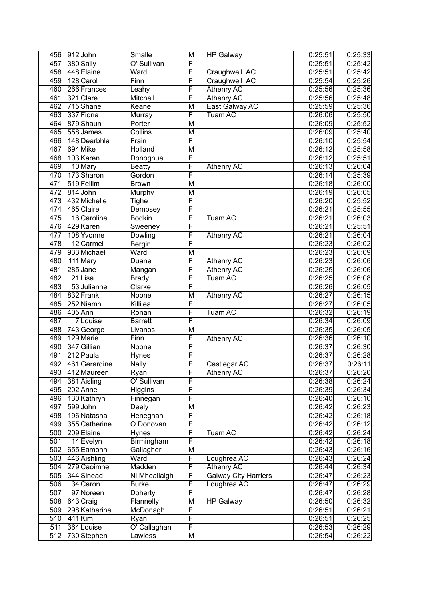|     | 456 912 John  | Smalle         | M                       | HP Galway            | 0:25:51               | 0:25:33              |
|-----|---------------|----------------|-------------------------|----------------------|-----------------------|----------------------|
| 457 | 380 Sally     | O' Sullivan    | F                       |                      | 0:25:51               | 0:25:42              |
| 458 | 448 Elaine    | Ward           | F                       | Craughwell AC        | 0:25:51               | 0:25:42              |
| 459 | 128 Carol     | Finn           | F                       | Craughwell AC        | 0:25:54               | 0:25:26              |
| 460 | 266 Frances   | Leahy          | F                       | Athenry AC           | 0:25:56               | 0:25:36              |
| 461 | 321 Clare     | Mitchell       | F                       | <b>Athenry AC</b>    | 0:25:56               | 0:25:48              |
| 462 | 715Shane      | Keane          | M                       | East Galway AC       | 0:25:59               | 0:25:36              |
| 463 | 337 Fiona     | Murray         | $\overline{\mathsf{F}}$ | <b>Tuam AC</b>       | 0:26:06               | 0:25:50              |
| 464 | 879 Shaun     | Porter         | M                       |                      | 0:26:09               | 0:25:52              |
| 465 | 558 James     | Collins        | M                       |                      | 0:26:09               | 0:25:40              |
| 466 | 148 Dearbhla  | Frain          | $\overline{\mathsf{F}}$ |                      | 0:26:10               | 0:25:54              |
| 467 | 694 Mike      | Holland        | M                       |                      | 0:26:12               | 0:25:58              |
| 468 | 103 Karen     | Donoghue       | F                       |                      | 0:26:12               | 0:25:51              |
| 469 | 10 Mary       | <b>Beatty</b>  | $\overline{\mathsf{F}}$ | Athenry AC           | 0:26:13               | 0:26:04              |
| 470 | 173 Sharon    | Gordon         | $\overline{\mathsf{F}}$ |                      | 0:26:14               | 0:25:39              |
| 471 | 519 Feilim    | <b>Brown</b>   | M                       |                      | 0:26:18               | 0:26:00              |
| 472 | 814 John      | Murphy         | M                       |                      | 0:26:19               | 0:26:05              |
| 473 | 432 Michelle  | Tighe          | F                       |                      | 0:26:20               | 0:25:52              |
| 474 | 465 Claire    | Dempsey        | F                       |                      | 0:26:21               | 0:25:55              |
| 475 | 16 Caroline   | <b>Bodkin</b>  | F                       | Tuam AC              | 0:26:21               | 0:26:03              |
| 476 | 429 Karen     | Sweeney        | F                       |                      | 0:26:21               | 0:25:51              |
| 477 | 108 Yvonne    | Dowling        | F                       | Athenry AC           | 0:26:21               | 0:26:04              |
| 478 | 12 Carmel     | <b>Bergin</b>  | $\overline{\mathsf{F}}$ |                      | 0:26:23               | 0:26:02              |
| 479 | 933 Michael   | Ward           | M                       |                      | 0:26:23               | 0:26:09              |
| 480 | 111 Mary      | Duane          | $\overline{\mathsf{F}}$ | <b>Athenry AC</b>    | 0:26:23               | 0:26:06              |
| 481 | $285$ Jane    | Mangan         | $\overline{\mathsf{F}}$ | Athenry AC           | 0:26:25               | 0:26:06              |
| 482 | 21Lisa        | <b>Brady</b>   | $\overline{\mathsf{F}}$ | <b>Tuam AC</b>       | 0:26:25               | 0:26:08              |
| 483 | 53 Julianne   | Clarke         | $\overline{\mathsf{F}}$ |                      | 0:26:26               | 0:26:05              |
| 484 | 832 Frank     | Noone          | $\overline{\mathsf{M}}$ | Athenry AC           | 0:26:27               | 0:26:15              |
| 485 | 252 Niamh     | Killilea       | $\overline{\mathsf{F}}$ |                      | 0:26:27               | 0:26:05              |
| 486 | 405 Ann       | Ronan          | $\overline{\mathsf{F}}$ | <b>Tuam AC</b>       | 0:26:32               | 0:26:19              |
| 487 | 7Louise       | <b>Barrett</b> | F                       |                      | 0:26:34               | 0:26:09              |
| 488 | 743 George    | Livanos        | M                       |                      | 0:26:35               | 0:26:05              |
| 489 | 129 Marie     | Finn           | F                       | <b>Athenry AC</b>    | 0:26:36               | 0:26:10              |
| 490 | 347 Gillian   | Noone          | F                       |                      | 0:26:37               | 0:26:30              |
| 491 | 212 Paula     | Hynes          | $\overline{\mathsf{F}}$ |                      | 0:26:37               | 0:26:28              |
| 492 | 461 Gerardine | <b>Nally</b>   | $\overline{\mathsf{F}}$ | Castlegar AC         | 0:26:37               | 0:26:11              |
| 493 | 412 Maureen   | Ryan           | ⊩                       | Athenry AC           | 0:26:37               | 0:26:20              |
| 494 | 381 Aisling   | O' Sullivan    | $\overline{\mathsf{F}}$ |                      | 0:26:38               | 0:26:24              |
| 495 | 202 Anne      | Higgins        | $\overline{\mathsf{F}}$ |                      | 0:26:39               | 0:26:34              |
| 496 | 130 Kathryn   | Finnegan       | F                       |                      | 0:26:40               | 0:26:10              |
| 497 | 599John       | Deely          | M                       |                      | 0:26:42               | 0:26:23              |
| 498 | 196 Natasha   | Heneghan       | F                       |                      | 0:26:42               | 0:26:18              |
| 499 | 355 Catherine | O Donovan      | F                       |                      | 0:26:42               | 0:26:12              |
| 500 | 209 Elaine    | Hynes          | F                       | Tuam AC              | 0:26:42               | 0:26:24              |
| 501 | 14 Evelyn     | Birmingham     | F                       |                      | 0:26:42               | 0:26:18              |
| 502 | 655 Eamonn    | Gallagher      | M                       |                      | 0:26:43               | 0:26:16              |
| 503 | 446 Aishling  | Ward           | F                       | Loughrea AC          | $\overline{0}$ :26:43 | 0:26:24              |
| 504 | 279 Caoimhe   | Madden         | F                       | Athenry AC           | 0:26:44               | 0:26:34              |
| 505 | 344 Sinead    | Ni Mheallaigh  | F                       | Galway City Harriers | 0:26:47               | 0:26:23              |
| 506 | 34 Caron      | <b>Burke</b>   | $\overline{\mathsf{F}}$ | Loughrea AC          | 0:26:47               | 0:26:29              |
| 507 | 97 Noreen     | Doherty        | $\overline{\mathsf{F}}$ |                      | 0:26:47               | 0:26:28              |
| 508 | 643 Craig     | Flannelly      | M                       | <b>HP Galway</b>     | 0:26:50               | 0:26:32              |
| 509 | 298 Katherine | McDonagh       | $\overline{\mathsf{F}}$ |                      | 0:26:51               | $\overline{0:}26:21$ |
| 510 | $411$ Kim     | Ryan           | F                       |                      | 0:26:51               | 0:26:25              |
| 511 | 364 Louise    | O' Callaghan   | F                       |                      | 0:26:53               | 0:26:29              |
| 512 | 730 Stephen   | Lawless        | M                       |                      | $\overline{0}$ :26:54 | 0:26:22              |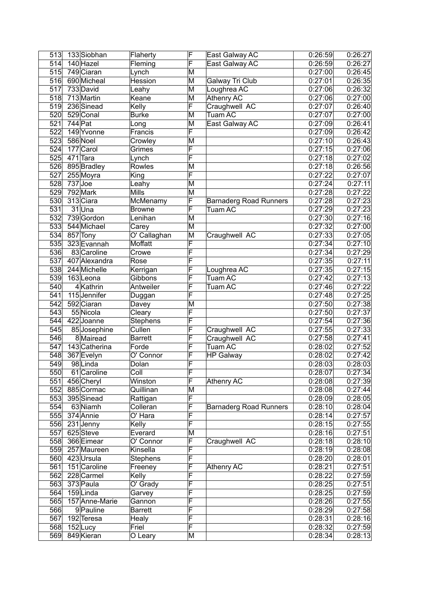| 513              | 133 Siobhan    | Flaherty        | F                       | East Galway AC                | 0:26:59              | 0:26:27 |
|------------------|----------------|-----------------|-------------------------|-------------------------------|----------------------|---------|
| 514              | 140 Hazel      | Fleming         | F                       | East Galway AC                | 0:26:59              | 0:26:27 |
| 515              | 749 Ciaran     | Lynch           | M                       |                               | 0:27:00              | 0:26:45 |
| 516              | 690 Micheal    | Hession         | M                       | Galway Tri Club               | 0:27:01              | 0:26:35 |
| 517              | 733 David      | Leahy           | M                       | Loughrea AC                   | 0:27:06              | 0:26:32 |
| 518              | 713 Martin     | Keane           | M                       | <b>Athenry AC</b>             | 0:27:06              | 0:27:00 |
| 519              | 236 Sinead     | Kelly           | F                       | Craughwell AC                 | 0:27:07              | 0:26:40 |
| 520              | 529 Conal      | <b>Burke</b>    | $\overline{\mathsf{M}}$ | <b>Tuam AC</b>                | 0:27:07              | 0:27:00 |
| $\overline{521}$ | $744$ Pat      | Long            | M                       | East Galway AC                | 0:27:09              | 0:26:41 |
| 522              | 149 Yvonne     | Francis         | $\overline{\mathsf{F}}$ |                               | 0:27:09              | 0:26:42 |
| 523              | 586 Noel       | Crowley         | $\overline{\mathsf{M}}$ |                               | 0:27:10              | 0:26:43 |
| 524              | 177 Carol      | Grimes          | F                       |                               | 0:27:15              | 0:27:06 |
| 525              | $471$ Tara     | Lynch           | $\overline{\mathsf{F}}$ |                               | 0:27:18              | 0:27:02 |
| 526              | 895 Bradley    | Rowles          | M                       |                               | 0:27:18              | 0:26:56 |
| 527              | 255 Moyra      | King            | $\overline{\mathsf{F}}$ |                               | 0:27:22              | 0:27:07 |
| 528              | $737$ Joe      | Leahy           | $\overline{\mathsf{M}}$ |                               | 0:27:24              | 0:27:11 |
| 529              | 792 Mark       | <b>Mills</b>    | $\overline{\mathsf{M}}$ |                               | 0:27:28              | 0:27:22 |
| 530              | 313 Ciara      | McMenamy        | F                       | <b>Barnaderg Road Runners</b> | 0:27:28              | 0:27:23 |
| 531              | 31Una          | <b>Browne</b>   | F                       | <b>Tuam AC</b>                | 0:27:29              | 0:27:23 |
| 532              | 739 Gordon     | Lenihan         | M                       |                               | 0:27:30              | 0:27:16 |
| 533              | 544 Michael    | Carey           | M                       |                               | 0:27:32              | 0:27:00 |
| 534              | 857 Tony       | O' Callaghan    | M                       | Craughwell AC                 | 0:27:33              | 0:27:05 |
| 535              | 323 Evannah    | Moffatt         | $\overline{\mathsf{F}}$ |                               | 0:27:34              | 0:27:10 |
| 536              | 83 Caroline    | Crowe           | F                       |                               | 0:27:34              | 0:27:29 |
| 537              | 407 Alexandra  | Rose            | $\overline{\mathsf{F}}$ |                               | 0:27:35              | 0:27:11 |
| 538              | 244 Michelle   | Kerrigan        | F                       | Loughrea AC                   | 0:27:35              | 0:27:15 |
| $\overline{539}$ | 163Leona       | Gibbons         | F                       | <b>Tuam AC</b>                | 0:27:42              | 0:27:13 |
| 540              | 4 Kathrin      | Antweiler       | F                       | <b>Tuam AC</b>                | 0:27:46              | 0:27:22 |
| 541              | 115 Jennifer   | Duggan          | F                       |                               | 0:27:48              | 0:27:25 |
| 542              | 592 Ciaran     | Davey           | $\overline{\mathsf{M}}$ |                               | 0:27:50              | 0:27:38 |
| 543              | 55 Nicola      | Cleary          | F                       |                               | 0:27:50              | 0:27:37 |
| 544              | 422 Joanne     | <b>Stephens</b> | F                       |                               | 0:27:54              | 0:27:36 |
| 545              | 85 Josephine   | Cullen          | F                       | Craughwell AC                 | 0:27:55              | 0:27:33 |
| 546              | 8 Mairead      | <b>Barrett</b>  | F                       | Craughwell AC                 | 0:27:58              | 0:27:41 |
| 547              | 143 Catherina  | Forde           | F                       | Tuam AC                       | 0:28:02              | 0:27:52 |
| 548              | 367 Evelyn     | O' Connor       | $\overline{\mathsf{F}}$ | <b>HP Galway</b>              | 0:28:02              | 0:27:42 |
| 549              | 98Linda        | Dolan           | F                       |                               | 0:28:03              | 0:28:03 |
| 550              | 61 Caroline    | Coll            | ۳                       |                               | 0:28:07              | 0:27:34 |
| 551              | 456 Cheryl     | Winston         | F                       | Athenry AC                    | 0:28:08              | 0:27:39 |
| 552              | 885 Cormac     | Quillinan       | $\overline{\mathsf{M}}$ |                               | 0:28:08              | 0:27:44 |
| 553              | 395 Sinead     | Rattigan        | F                       |                               | 0:28:09              | 0:28:05 |
| 554              | 63 Niamh       | Colleran        | F                       | <b>Barnaderg Road Runners</b> | 0:28:10              | 0:28:04 |
| 555              | 374 Annie      | O' Hara         | $\overline{\mathsf{F}}$ |                               | 0:28:14              | 0:27:57 |
| 556              | $231$ Jenny    | Kelly           | $\overline{\mathsf{F}}$ |                               | 0:28:15              | 0:27:55 |
| 557              | 625Steve       | Everard         | M                       |                               | 0:28:16              | 0:27:51 |
| 558              | 366 Eimear     | O' Connor       | F                       | Craughwell AC                 | 0:28:18              | 0:28:10 |
| 559              | 257 Maureen    | Kinsella        | F                       |                               | 0:28:19              | 0:28:08 |
| 560              | 423 Ursula     | <b>Stephens</b> | F                       |                               | 0:28:20              | 0:28:01 |
| 561              | 151 Caroline   | Freeney         | $\overline{\mathsf{F}}$ | Athenry AC                    | 0:28:21              | 0:27:51 |
| 562              | 228 Carmel     | Kelly           | $\overline{\mathsf{F}}$ |                               | 0:28:22              | 0:27:59 |
| 563              | 373 Paula      | O' Grady        | $\overline{\mathsf{F}}$ |                               | 0:28:25              | 0:27:51 |
| 564              | 159Linda       | Garvey          | F                       |                               | 0:28:25              | 0:27:59 |
| 565              | 157 Anne-Marie | Gannon          | $\overline{\mathsf{F}}$ |                               | 0:28:26              | 0:27:55 |
| 566              | 9 Pauline      | <b>Barrett</b>  | $\overline{\mathsf{F}}$ |                               | $\overline{0:}28:29$ | 0:27:58 |
| 567              | 192 Teresa     | Healy           | F                       |                               | 0:28:31              | 0:28:16 |
| 568              | $152$ Lucy     | Friel           | F                       |                               | 0:28:32              | 0:27:59 |
| 569              | 849 Kieran     | O Leary         | М                       |                               | 0:28:34              | 0:28:13 |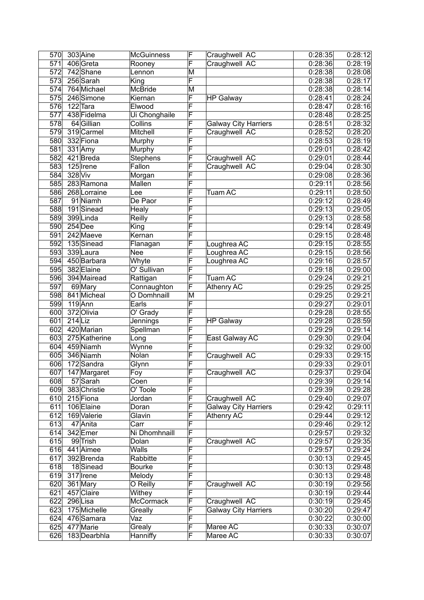| 570              | 303 Aine      | <b>McGuinness</b> | F                       | Craughwell AC               | 0:28:35 | 0:28:12              |
|------------------|---------------|-------------------|-------------------------|-----------------------------|---------|----------------------|
| $\overline{571}$ | 406 Greta     | Rooney            | F                       | Craughwell AC               | 0:28:36 | 0:28:19              |
| 572              | 742 Shane     | Lennon            | M                       |                             | 0:28:38 | 0:28:08              |
| 573              | 256 Sarah     | King              | F                       |                             | 0:28:38 | 0:28:17              |
| 574              | 764 Michael   | McBride           | M                       |                             | 0:28:38 | 0:28:14              |
| 575              | 246 Simone    | Kiernan           | F                       | <b>HP Galway</b>            | 0:28:41 | 0:28:24              |
| 576              | 122 Tara      | Elwood            | F                       |                             | 0:28:47 | 0:28:16              |
| 577              | 438 Fidelma   | Ui Chonghaile     | F                       |                             | 0:28:48 | 0:28:25              |
| 578              | 64 Gillian    | <b>Collins</b>    | F                       | <b>Galway City Harriers</b> | 0:28:51 | 0:28:32              |
| 579              | 319 Carmel    | Mitchell          | F                       | Craughwell AC               | 0:28:52 | 0:28:20              |
| 580              | 332 Fiona     | Murphy            | F                       |                             | 0:28:53 | 0:28:19              |
| 581              | $331$ Amy     | Murphy            | F                       |                             | 0:29:01 | 0:28:42              |
| 582              | 421 Breda     | <b>Stephens</b>   | F                       | Craughwell AC               | 0:29:01 | 0:28:44              |
| 583              | 125 Irene     | Fallon            | F                       | Craughwell AC               | 0:29:04 | 0:28:30              |
| 584              | 328 Viv       | Morgan            | F                       |                             | 0:29:08 | 0:28:36              |
| 585              | 283 Ramona    | Mallen            | F                       |                             | 0:29:11 | 0:28:56              |
| 586              | 268 Lorraine  | Lee               | F                       | Tuam AC                     | 0:29:11 | 0:28:50              |
| 587              | 91 Niamh      | De Paor           | F                       |                             | 0:29:12 | 0:28:49              |
| 588              | 191Sinead     | Healy             | F                       |                             | 0:29:13 | $\overline{0:}29:05$ |
| 589              | 399Linda      | Reilly            | F                       |                             | 0:29:13 | 0:28:58              |
| 590              | $254$ Dee     | King              | F                       |                             | 0:29:14 | 0:28:49              |
| 591              | 242 Maeve     | Kernan            | F                       |                             | 0:29:15 | 0:28:48              |
| 592              | 135 Sinead    | Flanagan          | F                       | Loughrea AC                 | 0:29:15 | 0:28:55              |
| 593              | 339 Laura     | Nee               | F                       | Loughrea AC                 | 0:29:15 | 0:28:56              |
| 594              | 450 Barbara   | Whyte             | F                       | Loughrea AC                 | 0:29:16 | 0:28:57              |
| 595              | 382 Elaine    | O' Sullivan       | F                       |                             | 0:29:18 | 0:29:00              |
| 596              | 394 Mairead   | Rattigan          | F                       | Tuam AC                     | 0:29:24 | 0:29:21              |
| 597              | 69 Mary       | Connaughton       | F                       | <b>Athenry AC</b>           | 0:29:25 | 0:29:25              |
| 598              | 841 Micheal   | O Domhnaill       | M                       |                             | 0:29:25 | 0:29:21              |
| 599              | $119$ Ann     | Earls             | $\overline{\mathsf{F}}$ |                             | 0:29:27 | 0:29:01              |
| 600              | 372 Olivia    | O' Grady          | F                       |                             | 0:29:28 | 0:28:55              |
| 601              | $214$ Liz     | Jennings          | $\overline{\mathsf{F}}$ | <b>HP Galway</b>            | 0:29:28 | $\overline{0:28:59}$ |
| 602              | 420 Marian    | Spellman          | F                       |                             | 0:29:29 | 0:29:14              |
| 603              | 275 Katherine | Long              | $\overline{\mathsf{F}}$ | East Galway AC              | 0:29:30 | 0:29:04              |
| 604              | 459 Niamh     | Wynne             | F                       |                             | 0:29:32 | 0:29:00              |
| 605              | 346 Niamh     | Nolan             | F                       | Craughwell AC               | 0:29:33 | 0:29:15              |
| 606              | 172 Sandra    | Glynn             | $\overline{\mathsf{F}}$ |                             | 0:29:33 | 0:29:01              |
| 607              | 147 Margaret  | Foy               | F                       | Craughwell AC               | 0:29:37 | 0:29:04              |
| 608              | 57 Sarah      | Coen              | F                       |                             | 0:29:39 | 0:29:14              |
| 609              | 383 Christie  | O' Toole          | $\overline{\mathsf{F}}$ |                             | 0:29:39 | 0:29:28              |
| 610              | 215 Fiona     | Jordan            | F                       | Craughwell AC               | 0:29:40 | 0:29:07              |
| 611              | 106 Elaine    | Doran             | $\overline{\mathsf{F}}$ | <b>Galway City Harriers</b> | 0:29:42 | 0:29:11              |
| 612              | 169 Valerie   | Glavin            | $\overline{\mathsf{F}}$ | Athenry AC                  | 0:29:44 | 0:29:12              |
| 613              | 47 Anita      | Carr              | $\overline{\mathsf{F}}$ |                             | 0:29:46 | 0:29:12              |
| 614              | 342 Emer      | Ni Dhomhnaill     | $\overline{\mathsf{F}}$ |                             | 0:29:57 | 0:29:32              |
| 615              | 99 Trish      | Dolan             | $\overline{\mathsf{F}}$ | Craughwell AC               | 0:29:57 | 0:29:35              |
| 616              | 441 Aimee     | Walls             | F                       |                             | 0:29:57 | 0:29:24              |
| 617              | 392 Brenda    | Rabbitte          | $\bar{\mathsf{F}}$      |                             | 0:30:13 | 0:29:45              |
| 618              | 18Sinead      | <b>Bourke</b>     | F                       |                             | 0:30:13 | 0:29:48              |
| 619              | 317 Irene     | Melody            | F                       |                             | 0:30:13 | 0:29:48              |
| 620              | 361 Mary      | O Reilly          | F                       | Craughwell AC               | 0:30:19 | 0:29:56              |
| 621              | 457 Claire    | Withey            | F                       |                             | 0:30:19 | 0:29:44              |
| 622              | 296Lisa       | <b>McCormack</b>  | F                       | Craughwell AC               | 0:30:19 | 0:29:45              |
| 623              | 175 Michelle  | Greally           | $\overline{\mathsf{F}}$ | <b>Galway City Harriers</b> | 0:30:20 | 0:29:47              |
| 624              | 476 Samara    | Vaz               | F                       |                             | 0:30:22 | 0:30:00              |
| 625              | 477 Marie     | Grealy            | F                       | Maree AC                    | 0:30:33 | 0:30:07              |
| 626              | 183 Dearbhla  | Hanniffy          | $\overline{\mathsf{F}}$ | Maree AC                    | 0:30:33 | 0:30:07              |
|                  |               |                   |                         |                             |         |                      |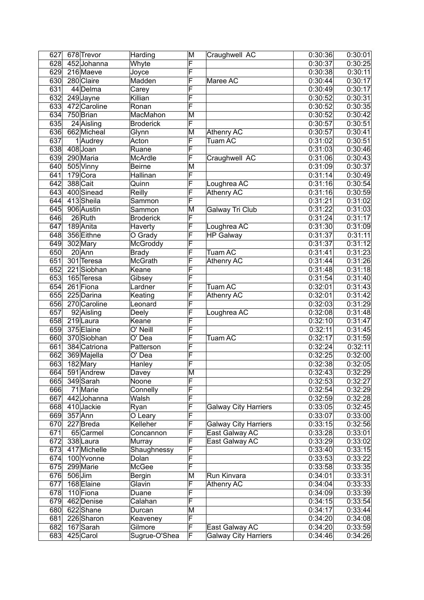| 627              | 678 Trevor              | Harding          | M                            | Craughwell AC               | 0:30:36              | 0:30:01            |
|------------------|-------------------------|------------------|------------------------------|-----------------------------|----------------------|--------------------|
| 628              | 452 Johanna             | Whyte            | F                            |                             | 0:30:37              | 0:30:25            |
| 629              | 216 Maeve               | Joyce            | F                            |                             | 0:30:38              | 0:30:11            |
| 630              | 280 Claire              | Madden           | F                            | Maree AC                    | $\overline{0:}30:44$ | 0:30:17            |
| 631              | 44 Delma                | Carey            | F                            |                             | 0:30:49              | 0:30:17            |
| 632              | $249$ Jayne             | Killian          | F                            |                             | 0:30:52              | 0:30:31            |
| $\overline{633}$ | 472 Caroline            | Ronan            | F                            |                             | 0:30:52              | 0:30:35            |
| 634              | 750 Brian               | MacMahon         | M                            |                             | 0:30:52              | 0:30:42            |
| $\overline{635}$ | 24 Aisling              | <b>Broderick</b> | $\overline{\mathsf{F}}$      |                             | 0:30:57              | 0:30:51            |
| 636              | 662 Micheal             | Glynn            | M                            | Athenry AC                  | 0:30:57              | 0:30:41            |
| 637              | 1Audrey                 | Acton            | F                            | <b>Tuam AC</b>              | 0:31:02              | 0:30:51            |
| 638              | 408Joan                 | Ruane            | F                            |                             | 0:31:03              | 0:30:46            |
| 639              | 290 Maria               | McArdle          | F                            | Craughwell AC               | 0:31:06              | 0:30:43            |
| 640              | 505 Vinny               | <b>Beirne</b>    | M                            |                             | 0:31:09              | 0:30:37            |
| 641              | 179 Cora                | Hallinan         | F                            |                             | 0:31:14              | 0:30:49            |
| 642              | 388 Cait                | Quinn            | $\overline{\mathsf{F}}$      | Loughrea AC                 | 0:31:16              | 0:30:54            |
| 643              | 400 Sinead              | Reilly           | $\overline{\mathsf{F}}$      | <b>Athenry AC</b>           | 0:31:16              | 0:30:59            |
| 644              | 413Sheila               | Sammon           | F                            |                             | 0:31:21              | 0:31:02            |
| 645              | 906 Austin              | Sammon           | M                            | Galway Tri Club             | 0:31:22              | 0:31:03            |
| 646              | 26Ruth                  | <b>Broderick</b> | F                            |                             | 0:31:24              | 0:31:17            |
| 647              | 189 Anita               | Haverty          | F                            | Loughrea AC                 | 0:31:30              | 0:31:09            |
| 648              | 356 Eithne              | O Grady          | F                            | <b>HP Galway</b>            | 0:31:37              | 0:31:11            |
| 649              | 302 Mary                | McGroddy         | F                            |                             | 0:31:37              | 0:31:12            |
| 650              | $20$ Ann                | <b>Brady</b>     | F                            | Tuam AC                     | 0:31:41              | 0:31:23            |
| 651              | 301 Teresa              | <b>McGrath</b>   | F                            | Athenry AC                  | 0:31:44              | 0:31:26            |
| 652              | 221 Siobhan             | Keane            | F                            |                             | 0:31:48              | 0:31:18            |
| 653              | 165 Teresa              | Gibsey           | F                            |                             | 0:31:54              | 0:31:40            |
| 654              | 261 Fiona               | Lardner          | F                            | <b>Tuam AC</b>              | 0:32:01              | 0:31:43            |
| 655              | 225 Darina              | Keating          | $\overline{\mathsf{F}}$      | <b>Athenry AC</b>           | 0:32:01              | 0:31:42            |
| 656              | 270 Caroline            | Leonard          | $\overline{\mathsf{F}}$      |                             | 0:32:03              | 0:31:29            |
| 657              | 92 Aisling              | Deely            | $\overline{\mathsf{F}}$      | Loughrea AC                 | 0:32:08              | 0:31:48            |
| 658              | 219 Laura               | Keane            | $\overline{\mathsf{F}}$      |                             | 0:32:10              | 0:31:47            |
| 659              | 375 Elaine              | O' Neill         | F                            |                             | 0:32:11              | 0:31:45            |
| 660              | 370 Siobhan             | O' Dea           | F                            | Tuam AC                     | 0:32:17              | 0:31:59            |
| 661              | 384 Catriona            | Patterson        | F                            |                             | 0:32:24              | 0:32:11            |
| 662              | 369 Majella             | O' Dea           | F                            |                             | 0:32:25              | 0:32:00            |
| 663              | 182 Mary                | Hanley           | F                            |                             | 0:32:38              | 0:32:05            |
| $\overline{664}$ | 591 Andrew              |                  | $\overline{\mathsf{M}}$      |                             | 0:32:43              | 0:32:29            |
| 665              | 349 Sarah               | Davey<br>Noone   | $\overline{\mathsf{F}}$      |                             | 0:32:53              | 0:32:27            |
| 666              | 71 Marie                | Connelly         | $\overline{\mathsf{F}}$      |                             | 0:32:54              |                    |
| 667              | 442Johanna              | Walsh            | F                            |                             | 0:32:59              | 0:32:29<br>0:32:28 |
| 668              | 410 Jackie              |                  | F                            | <b>Galway City Harriers</b> |                      |                    |
| 669              | $357$ Ann               | Ryan             | F                            |                             | 0:33:05              | 0:32:45<br>0:33:00 |
|                  |                         | O Leary          | F                            |                             | 0:33:07              |                    |
| 670<br>671       | 227 Breda               | Kelleher         | $\overline{\mathsf{F}}$      | <b>Galway City Harriers</b> | 0:33:15              | 0:32:56            |
|                  | 65 Carmel               | Concannon        | F                            | East Galway AC              | 0:33:28              | 0:33:01            |
| 672              | 338 Laura               | Murray           | F                            | East Galway AC              | 0:33:29              | 0:33:02            |
| 673              | 417 Michelle            | Shaughnessy      |                              |                             | 0:33:40              | 0:33:15            |
| 674              | 100 Yvonne              | Dolan            | $\overline{\mathsf{F}}$<br>F |                             | 0:33:53              | 0:33:22            |
| 675              | 299 Marie               | McGee            |                              |                             | 0:33:58              | 0:33:35            |
| 676              | $506$ Jim               | Bergin           | M                            | Run Kinvara                 | 0:34:01              | 0:33:31            |
| 677              | 168 Elaine              | Glavin           | F                            | Athenry AC                  | 0:34:04              | 0:33:33            |
| 678              | 110 Fiona               | Duane            | F<br>F                       |                             | 0:34:09              | 0:33:39            |
| 679              | $\overline{462}$ Denise | Calahan          |                              |                             | 0:34:15              | 0:33:54            |
| 680              | 622Shane                | Durcan           | $\overline{\mathsf{M}}$      |                             | 0:34:17              | 0:33:44            |
| 681              | 226 Sharon              | Keaveney         | F                            |                             | 0:34:20              | 0:34:08            |
| 682              | 167 Sarah               | Gilmore          | F                            | East Galway AC              | 0:34:20              | 0:33:59            |
| 683              | 425 Carol               | Sugrue-O'Shea    | F                            | <b>Galway City Harriers</b> | 0:34:46              | 0:34:26            |